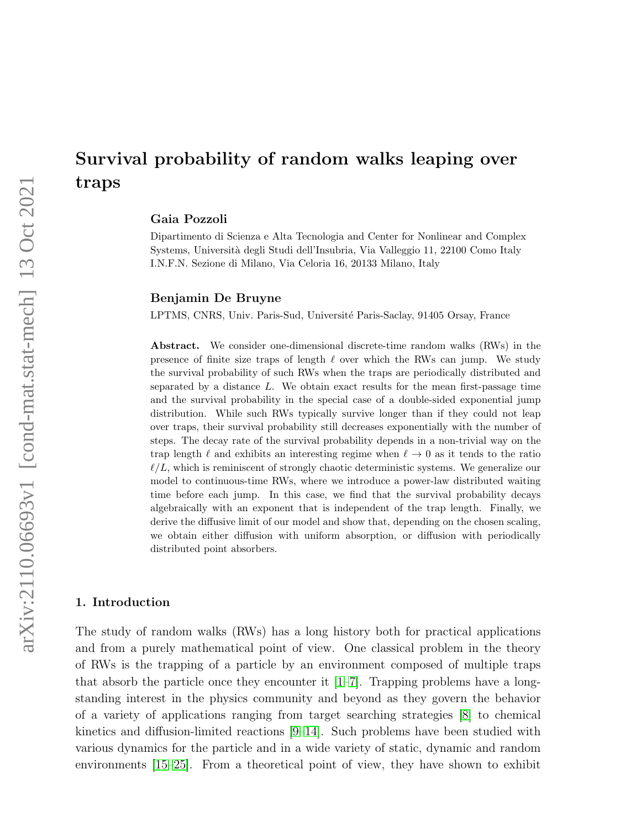# arXiv:2110.06693v1 [cond-mat.stat-mech] 13 Oct 2021 arXiv:2110.06693v1 [cond-mat.stat-mech] 13 Oct 2021

# Survival probability of random walks leaping over traps

### Gaia Pozzoli

Dipartimento di Scienza e Alta Tecnologia and Center for Nonlinear and Complex Systems, Universit`a degli Studi dell'Insubria, Via Valleggio 11, 22100 Como Italy I.N.F.N. Sezione di Milano, Via Celoria 16, 20133 Milano, Italy

### Benjamin De Bruyne

LPTMS, CNRS, Univ. Paris-Sud, Université Paris-Saclay, 91405 Orsay, France

Abstract. We consider one-dimensional discrete-time random walks (RWs) in the presence of finite size traps of length  $\ell$  over which the RWs can jump. We study the survival probability of such RWs when the traps are periodically distributed and separated by a distance  $L$ . We obtain exact results for the mean first-passage time and the survival probability in the special case of a double-sided exponential jump distribution. While such RWs typically survive longer than if they could not leap over traps, their survival probability still decreases exponentially with the number of steps. The decay rate of the survival probability depends in a non-trivial way on the trap length  $\ell$  and exhibits an interesting regime when  $\ell \to 0$  as it tends to the ratio  $\ell/L$ , which is reminiscent of strongly chaotic deterministic systems. We generalize our model to continuous-time RWs, where we introduce a power-law distributed waiting time before each jump. In this case, we find that the survival probability decays algebraically with an exponent that is independent of the trap length. Finally, we derive the diffusive limit of our model and show that, depending on the chosen scaling, we obtain either diffusion with uniform absorption, or diffusion with periodically distributed point absorbers.

### 1. Introduction

The study of random walks (RWs) has a long history both for practical applications and from a purely mathematical point of view. One classical problem in the theory of RWs is the trapping of a particle by an environment composed of multiple traps that absorb the particle once they encounter it [\[1–](#page-26-0)[7\]](#page-26-1). Trapping problems have a longstanding interest in the physics community and beyond as they govern the behavior of a variety of applications ranging from target searching strategies [\[8\]](#page-26-2) to chemical kinetics and diffusion-limited reactions [\[9](#page-26-3)[–14\]](#page-26-4). Such problems have been studied with various dynamics for the particle and in a wide variety of static, dynamic and random environments [\[15–](#page-26-5)[25\]](#page-27-0). From a theoretical point of view, they have shown to exhibit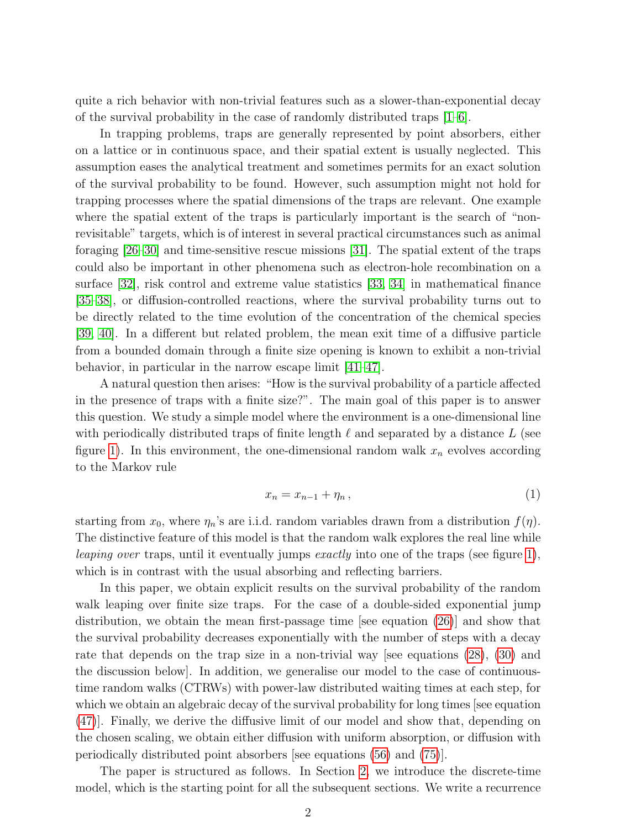quite a rich behavior with non-trivial features such as a slower-than-exponential decay of the survival probability in the case of randomly distributed traps [\[1–](#page-26-0)[6\]](#page-26-6).

In trapping problems, traps are generally represented by point absorbers, either on a lattice or in continuous space, and their spatial extent is usually neglected. This assumption eases the analytical treatment and sometimes permits for an exact solution of the survival probability to be found. However, such assumption might not hold for trapping processes where the spatial dimensions of the traps are relevant. One example where the spatial extent of the traps is particularly important is the search of "nonrevisitable" targets, which is of interest in several practical circumstances such as animal foraging [\[26–](#page-27-1)[30\]](#page-27-2) and time-sensitive rescue missions [\[31\]](#page-27-3). The spatial extent of the traps could also be important in other phenomena such as electron-hole recombination on a surface [\[32\]](#page-27-4), risk control and extreme value statistics [\[33,](#page-27-5) [34\]](#page-27-6) in mathematical finance [\[35–](#page-27-7)[38\]](#page-27-8), or diffusion-controlled reactions, where the survival probability turns out to be directly related to the time evolution of the concentration of the chemical species [\[39,](#page-27-9) [40\]](#page-27-10). In a different but related problem, the mean exit time of a diffusive particle from a bounded domain through a finite size opening is known to exhibit a non-trivial behavior, in particular in the narrow escape limit [\[41–](#page-27-11)[47\]](#page-27-12).

A natural question then arises: "How is the survival probability of a particle affected in the presence of traps with a finite size?". The main goal of this paper is to answer this question. We study a simple model where the environment is a one-dimensional line with periodically distributed traps of finite length  $\ell$  and separated by a distance  $L$  (see figure [1\)](#page-2-0). In this environment, the one-dimensional random walk  $x_n$  evolves according to the Markov rule

<span id="page-1-0"></span>
$$
x_n = x_{n-1} + \eta_n \,,\tag{1}
$$

starting from  $x_0$ , where  $\eta_n$ 's are i.i.d. random variables drawn from a distribution  $f(\eta)$ . The distinctive feature of this model is that the random walk explores the real line while leaping over traps, until it eventually jumps exactly into one of the traps (see figure [1\)](#page-2-0), which is in contrast with the usual absorbing and reflecting barriers.

In this paper, we obtain explicit results on the survival probability of the random walk leaping over finite size traps. For the case of a double-sided exponential jump distribution, we obtain the mean first-passage time [see equation [\(26\)](#page-7-0)] and show that the survival probability decreases exponentially with the number of steps with a decay rate that depends on the trap size in a non-trivial way [see equations [\(28\)](#page-8-0), [\(30\)](#page-8-1) and the discussion below]. In addition, we generalise our model to the case of continuoustime random walks (CTRWs) with power-law distributed waiting times at each step, for which we obtain an algebraic decay of the survival probability for long times [see equation [\(47\)](#page-13-0)]. Finally, we derive the diffusive limit of our model and show that, depending on the chosen scaling, we obtain either diffusion with uniform absorption, or diffusion with periodically distributed point absorbers [see equations [\(56\)](#page-15-0) and [\(75\)](#page-19-0)].

The paper is structured as follows. In Section [2,](#page-2-1) we introduce the discrete-time model, which is the starting point for all the subsequent sections. We write a recurrence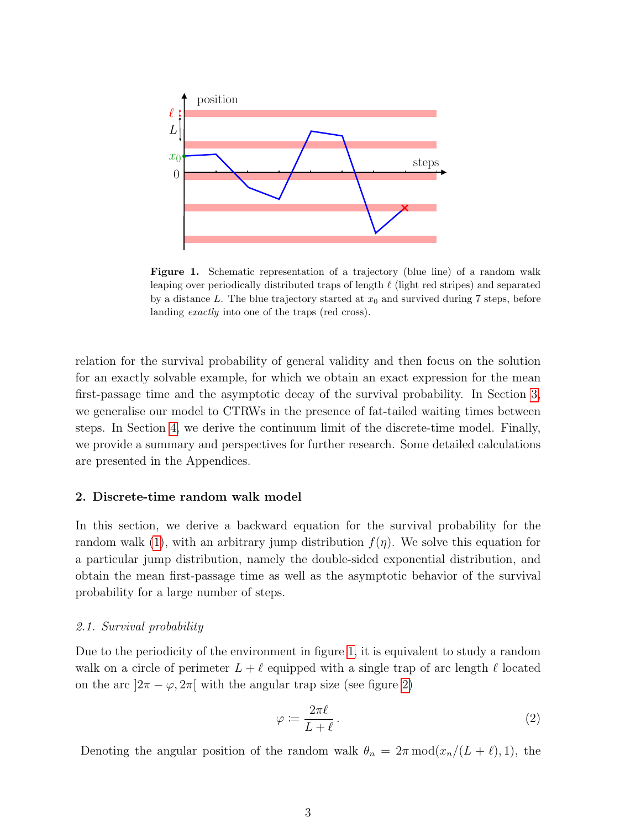

<span id="page-2-0"></span>Figure 1. Schematic representation of a trajectory (blue line) of a random walk leaping over periodically distributed traps of length  $\ell$  (light red stripes) and separated by a distance L. The blue trajectory started at  $x_0$  and survived during 7 steps, before landing *exactly* into one of the traps (red cross).

relation for the survival probability of general validity and then focus on the solution for an exactly solvable example, for which we obtain an exact expression for the mean first-passage time and the asymptotic decay of the survival probability. In Section [3,](#page-11-0) we generalise our model to CTRWs in the presence of fat-tailed waiting times between steps. In Section [4,](#page-14-0) we derive the continuum limit of the discrete-time model. Finally, we provide a summary and perspectives for further research. Some detailed calculations are presented in the Appendices.

### <span id="page-2-1"></span>2. Discrete-time random walk model

In this section, we derive a backward equation for the survival probability for the random walk [\(1\)](#page-1-0), with an arbitrary jump distribution  $f(\eta)$ . We solve this equation for a particular jump distribution, namely the double-sided exponential distribution, and obtain the mean first-passage time as well as the asymptotic behavior of the survival probability for a large number of steps.

### <span id="page-2-3"></span>2.1. Survival probability

Due to the periodicity of the environment in figure [1,](#page-2-0) it is equivalent to study a random walk on a circle of perimeter  $L + \ell$  equipped with a single trap of arc length  $\ell$  located on the arc  $[2\pi - \varphi, 2\pi]$  with the angular trap size (see figure [2\)](#page-3-0)

<span id="page-2-2"></span>
$$
\varphi := \frac{2\pi\ell}{L+\ell} \,. \tag{2}
$$

Denoting the angular position of the random walk  $\theta_n = 2\pi \mod (x_n/(L + \ell), 1)$ , the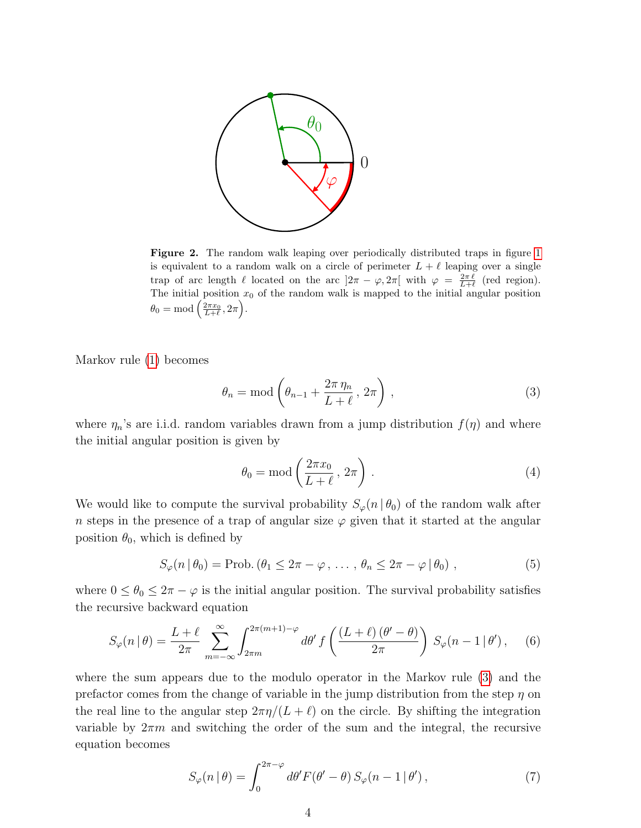

<span id="page-3-0"></span>Figure 2. The random walk leaping over periodically distributed traps in figure [1](#page-2-0) is equivalent to a random walk on a circle of perimeter  $L + \ell$  leaping over a single trap of arc length  $\ell$  located on the arc  $]2\pi - \varphi, 2\pi[$  with  $\varphi = \frac{2\pi \ell}{L+\ell}$  (red region). The initial position  $x_0$  of the random walk is mapped to the initial angular position  $\theta_0 = \text{mod}\left(\frac{2\pi x_0}{L+\ell}, 2\pi\right).$ 

Markov rule [\(1\)](#page-1-0) becomes

$$
\theta_n = \text{mod}\left(\theta_{n-1} + \frac{2\pi \,\eta_n}{L+\ell}, \, 2\pi\right),\tag{3}
$$

where  $\eta_n$ 's are i.i.d. random variables drawn from a jump distribution  $f(\eta)$  and where the initial angular position is given by

<span id="page-3-4"></span><span id="page-3-3"></span><span id="page-3-1"></span>
$$
\theta_0 = \text{mod}\left(\frac{2\pi x_0}{L+\ell}, 2\pi\right). \tag{4}
$$

We would like to compute the survival probability  $S_{\varphi}(n | \theta_0)$  of the random walk after n steps in the presence of a trap of angular size  $\varphi$  given that it started at the angular position  $\theta_0$ , which is defined by

$$
S_{\varphi}(n | \theta_0) = \text{Prob.}(\theta_1 \leq 2\pi - \varphi, \dots, \theta_n \leq 2\pi - \varphi | \theta_0), \qquad (5)
$$

where  $0 \le \theta_0 \le 2\pi - \varphi$  is the initial angular position. The survival probability satisfies the recursive backward equation

$$
S_{\varphi}(n \mid \theta) = \frac{L + \ell}{2\pi} \sum_{m = -\infty}^{\infty} \int_{2\pi m}^{2\pi (m+1) - \varphi} d\theta' f\left(\frac{(L + \ell)(\theta' - \theta)}{2\pi}\right) S_{\varphi}(n - 1 \mid \theta'), \quad (6)
$$

where the sum appears due to the modulo operator in the Markov rule [\(3\)](#page-3-1) and the prefactor comes from the change of variable in the jump distribution from the step  $\eta$  on the real line to the angular step  $2\pi\eta/(L + \ell)$  on the circle. By shifting the integration variable by  $2\pi m$  and switching the order of the sum and the integral, the recursive equation becomes

<span id="page-3-2"></span>
$$
S_{\varphi}(n \mid \theta) = \int_0^{2\pi - \varphi} d\theta' F(\theta' - \theta) S_{\varphi}(n - 1 \mid \theta'), \qquad (7)
$$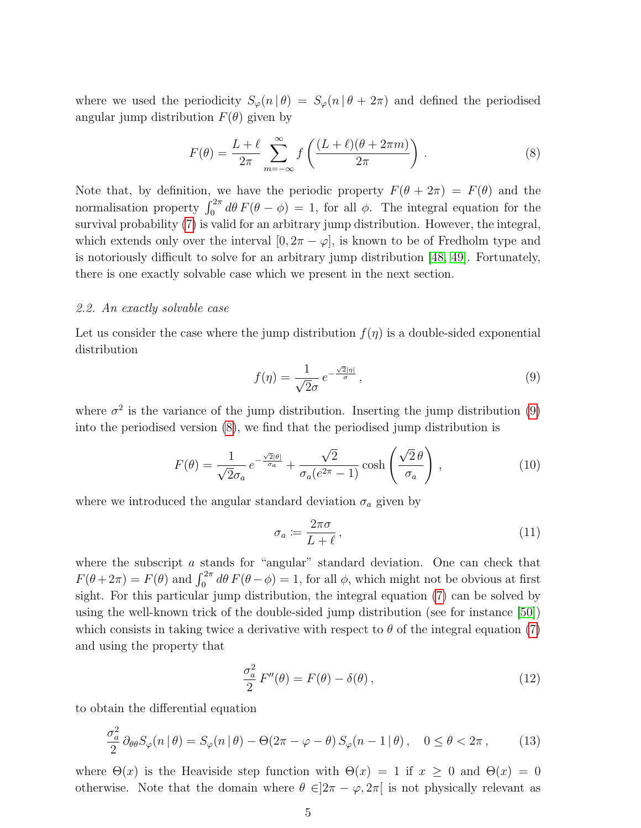where we used the periodicity  $S_{\varphi}(n \mid \theta) = S_{\varphi}(n \mid \theta + 2\pi)$  and defined the periodised angular jump distribution  $F(\theta)$  given by

<span id="page-4-1"></span>
$$
F(\theta) = \frac{L+\ell}{2\pi} \sum_{m=-\infty}^{\infty} f\left(\frac{(L+\ell)(\theta + 2\pi m)}{2\pi}\right).
$$
 (8)

Note that, by definition, we have the periodic property  $F(\theta + 2\pi) = F(\theta)$  and the normalisation property  $\int_0^{2\pi} d\theta F(\theta - \phi) = 1$ , for all  $\phi$ . The integral equation for the survival probability [\(7\)](#page-3-2) is valid for an arbitrary jump distribution. However, the integral, which extends only over the interval  $[0, 2\pi - \varphi]$ , is known to be of Fredholm type and is notoriously difficult to solve for an arbitrary jump distribution [\[48,](#page-27-13) [49\]](#page-28-0). Fortunately, there is one exactly solvable case which we present in the next section.

### 2.2. An exactly solvable case

Let us consider the case where the jump distribution  $f(\eta)$  is a double-sided exponential distribution

<span id="page-4-0"></span>
$$
f(\eta) = \frac{1}{\sqrt{2}\sigma} e^{-\frac{\sqrt{2}|\eta|}{\sigma}},
$$
\n(9)

where  $\sigma^2$  is the variance of the jump distribution. Inserting the jump distribution [\(9\)](#page-4-0) into the periodised version [\(8\)](#page-4-1), we find that the periodised jump distribution is

$$
F(\theta) = \frac{1}{\sqrt{2}\sigma_a} e^{-\frac{\sqrt{2}|\theta|}{\sigma_a}} + \frac{\sqrt{2}}{\sigma_a(e^{2\pi} - 1)} \cosh\left(\frac{\sqrt{2}\,\theta}{\sigma_a}\right) ,\qquad (10)
$$

where we introduced the angular standard deviation  $\sigma_a$  given by

<span id="page-4-4"></span><span id="page-4-3"></span>
$$
\sigma_a := \frac{2\pi\sigma}{L+\ell},\tag{11}
$$

where the subscript a stands for "angular" standard deviation. One can check that  $F(\theta + 2\pi) = F(\theta)$  and  $\int_0^{2\pi} d\theta F(\theta - \phi) = 1$ , for all  $\phi$ , which might not be obvious at first sight. For this particular jump distribution, the integral equation [\(7\)](#page-3-2) can be solved by using the well-known trick of the double-sided jump distribution (see for instance [\[50\]](#page-28-1)) which consists in taking twice a derivative with respect to  $\theta$  of the integral equation [\(7\)](#page-3-2) and using the property that

<span id="page-4-2"></span>
$$
\frac{\sigma_a^2}{2} F''(\theta) = F(\theta) - \delta(\theta), \qquad (12)
$$

to obtain the differential equation

$$
\frac{\sigma_a^2}{2} \partial_{\theta\theta} S_\varphi(n \,|\, \theta) = S_\varphi(n \,|\, \theta) - \Theta(2\pi - \varphi - \theta) \, S_\varphi(n-1 \,|\, \theta) \,, \quad 0 \le \theta < 2\pi \,, \tag{13}
$$

where  $\Theta(x)$  is the Heaviside step function with  $\Theta(x) = 1$  if  $x \geq 0$  and  $\Theta(x) = 0$ otherwise. Note that the domain where  $\theta \in ]2\pi - \varphi, 2\pi[$  is not physically relevant as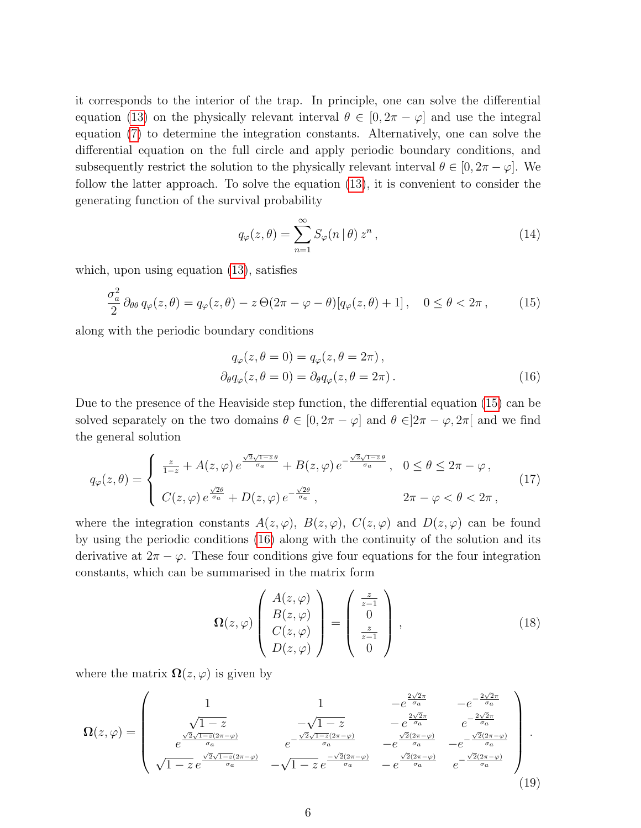it corresponds to the interior of the trap. In principle, one can solve the differential equation [\(13\)](#page-4-2) on the physically relevant interval  $\theta \in [0, 2\pi - \varphi]$  and use the integral equation [\(7\)](#page-3-2) to determine the integration constants. Alternatively, one can solve the differential equation on the full circle and apply periodic boundary conditions, and subsequently restrict the solution to the physically relevant interval  $\theta \in [0, 2\pi - \varphi]$ . We follow the latter approach. To solve the equation [\(13\)](#page-4-2), it is convenient to consider the generating function of the survival probability

<span id="page-5-3"></span><span id="page-5-0"></span>
$$
q_{\varphi}(z,\theta) = \sum_{n=1}^{\infty} S_{\varphi}(n \,|\, \theta) \, z^n \,, \tag{14}
$$

which, upon using equation  $(13)$ , satisfies

$$
\frac{\sigma_a^2}{2} \partial_{\theta\theta} q_\varphi(z,\theta) = q_\varphi(z,\theta) - z \Theta(2\pi - \varphi - \theta) [q_\varphi(z,\theta) + 1], \quad 0 \le \theta < 2\pi \,, \tag{15}
$$

along with the periodic boundary conditions

<span id="page-5-4"></span><span id="page-5-1"></span>
$$
q_{\varphi}(z, \theta = 0) = q_{\varphi}(z, \theta = 2\pi),
$$
  
\n
$$
\partial_{\theta}q_{\varphi}(z, \theta = 0) = \partial_{\theta}q_{\varphi}(z, \theta = 2\pi).
$$
\n(16)

Due to the presence of the Heaviside step function, the differential equation [\(15\)](#page-5-0) can be solved separately on the two domains  $\theta \in [0, 2\pi - \varphi]$  and  $\theta \in ]2\pi - \varphi, 2\pi[$  and we find the general solution

$$
q_{\varphi}(z,\theta) = \begin{cases} \frac{z}{1-z} + A(z,\varphi) e^{\frac{\sqrt{2}\sqrt{1-z}\theta}{\sigma_a}} + B(z,\varphi) e^{-\frac{\sqrt{2}\sqrt{1-z}\theta}{\sigma_a}}, & 0 \le \theta \le 2\pi - \varphi, \\ C(z,\varphi) e^{\frac{\sqrt{2}\theta}{\sigma_a}} + D(z,\varphi) e^{-\frac{\sqrt{2}\theta}{\sigma_a}}, & 2\pi - \varphi < \theta < 2\pi, \end{cases}
$$
(17)

where the integration constants  $A(z, \varphi), B(z, \varphi), C(z, \varphi)$  and  $D(z, \varphi)$  can be found by using the periodic conditions [\(16\)](#page-5-1) along with the continuity of the solution and its derivative at  $2\pi - \varphi$ . These four conditions give four equations for the four integration constants, which can be summarised in the matrix form

<span id="page-5-5"></span><span id="page-5-2"></span>
$$
\Omega(z,\varphi)\begin{pmatrix}A(z,\varphi)\\B(z,\varphi)\\C(z,\varphi)\\D(z,\varphi)\end{pmatrix}=\begin{pmatrix}\frac{z}{z-1}\\0\\-\frac{z}{z-1}\\0\end{pmatrix},\qquad(18)
$$

where the matrix  $\Omega(z, \varphi)$  is given by

$$
\Omega(z,\varphi) = \begin{pmatrix} 1 & 1 & -e^{\frac{2\sqrt{2}\pi}{\sigma_a}} & -e^{-\frac{2\sqrt{2}\pi}{\sigma_a}} \\ \frac{\sqrt{1-z}}{e^{\frac{\sqrt{2}\sqrt{1-z}(2\pi-\varphi)}{\sigma_a}}}{\sigma_a} & e^{-\frac{\sqrt{2}\sqrt{1-z}(2\pi-\varphi)}{\sigma_a}} & -e^{\frac{\sqrt{2}(2\pi-\varphi)}{\sigma_a}} & e^{-\frac{\sqrt{2}(2\pi-\varphi)}{\sigma_a}} \\ \sqrt{1-z}e^{\frac{\sqrt{2}\sqrt{1-z}(2\pi-\varphi)}{\sigma_a}} & -\sqrt{1-z}e^{\frac{-\sqrt{2}(2\pi-\varphi)}{\sigma_a}} & -e^{\frac{\sqrt{2}(2\pi-\varphi)}{\sigma_a}} & e^{-\frac{\sqrt{2}(2\pi-\varphi)}{\sigma_a}} \end{pmatrix}.
$$
\n(19)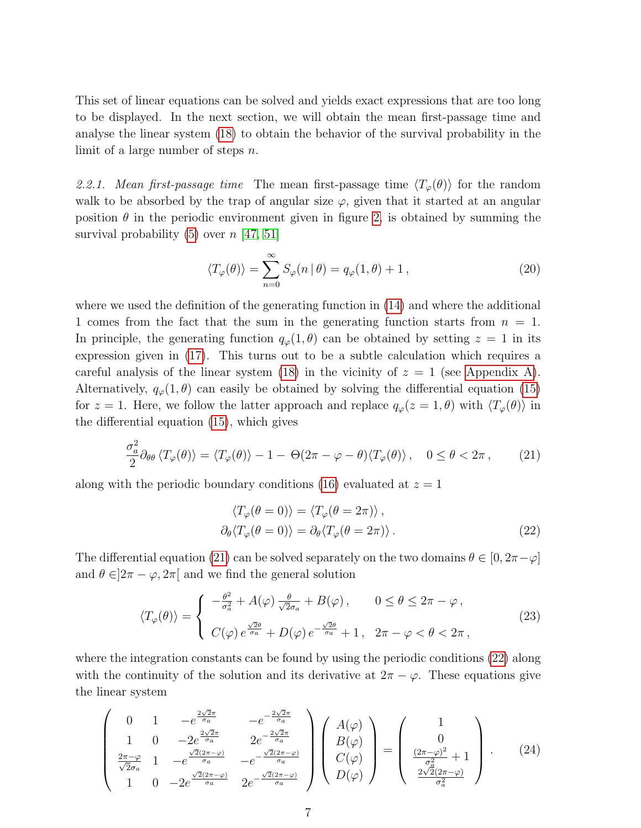This set of linear equations can be solved and yields exact expressions that are too long to be displayed. In the next section, we will obtain the mean first-passage time and analyse the linear system [\(18\)](#page-5-2) to obtain the behavior of the survival probability in the limit of a large number of steps n.

2.2.1. Mean first-passage time The mean first-passage time  $\langle T_{\varphi}(\theta) \rangle$  for the random walk to be absorbed by the trap of angular size  $\varphi$ , given that it started at an angular position  $\theta$  in the periodic environment given in figure [2,](#page-3-0) is obtained by summing the survival probability  $(5)$  over  $n \; [47, 51]$  $n \; [47, 51]$  $n \; [47, 51]$ 

$$
\langle T_{\varphi}(\theta) \rangle = \sum_{n=0}^{\infty} S_{\varphi}(n \, | \, \theta) = q_{\varphi}(1, \theta) + 1 \,, \tag{20}
$$

where we used the definition of the generating function in [\(14\)](#page-5-3) and where the additional 1 comes from the fact that the sum in the generating function starts from  $n = 1$ . In principle, the generating function  $q_{\varphi}(1,\theta)$  can be obtained by setting  $z = 1$  in its expression given in [\(17\)](#page-5-4). This turns out to be a subtle calculation which requires a careful analysis of the linear system [\(18\)](#page-5-2) in the vicinity of  $z = 1$  (see [Appendix A\)](#page-21-0). Alternatively,  $q_{\varphi}(1,\theta)$  can easily be obtained by solving the differential equation [\(15\)](#page-5-0) for  $z = 1$ . Here, we follow the latter approach and replace  $q_{\varphi}(z = 1, \theta)$  with  $\langle T_{\varphi}(\theta) \rangle$  in the differential equation [\(15\)](#page-5-0), which gives

$$
\frac{\sigma_a^2}{2} \partial_{\theta\theta} \langle T_\varphi(\theta) \rangle = \langle T_\varphi(\theta) \rangle - 1 - \Theta(2\pi - \varphi - \theta) \langle T_\varphi(\theta) \rangle, \quad 0 \le \theta < 2\pi \,, \tag{21}
$$

along with the periodic boundary conditions [\(16\)](#page-5-1) evaluated at  $z = 1$ 

<span id="page-6-2"></span><span id="page-6-1"></span><span id="page-6-0"></span>
$$
\langle T_{\varphi}(\theta = 0) \rangle = \langle T_{\varphi}(\theta = 2\pi) \rangle ,
$$
  

$$
\partial_{\theta} \langle T_{\varphi}(\theta = 0) \rangle = \partial_{\theta} \langle T_{\varphi}(\theta = 2\pi) \rangle .
$$
 (22)

The differential equation [\(21\)](#page-6-0) can be solved separately on the two domains  $\theta \in [0, 2\pi - \varphi]$ and  $\theta \in ]2\pi - \varphi, 2\pi[$  and we find the general solution

$$
\langle T_{\varphi}(\theta) \rangle = \begin{cases}\n-\frac{\theta^2}{\sigma_a^2} + A(\varphi) \frac{\theta}{\sqrt{2}\sigma_a} + B(\varphi), & 0 \le \theta \le 2\pi - \varphi, \\
C(\varphi) e^{\frac{\sqrt{2}\theta}{\sigma_a}} + D(\varphi) e^{-\frac{\sqrt{2}\theta}{\sigma_a}} + 1, & 2\pi - \varphi < \theta < 2\pi,\n\end{cases} \tag{23}
$$

where the integration constants can be found by using the periodic conditions [\(22\)](#page-6-1) along with the continuity of the solution and its derivative at  $2\pi - \varphi$ . These equations give the linear system

$$
\begin{pmatrix}\n0 & 1 & -e^{\frac{2\sqrt{2}\pi}{\sigma_a}} & -e^{-\frac{2\sqrt{2}\pi}{\sigma_a}} \\
1 & 0 & -2e^{\frac{2\sqrt{2}\pi}{\sigma_a}} & 2e^{-\frac{2\sqrt{2}\pi}{\sigma_a}} \\
\frac{2\pi-\varphi}{\sqrt{2}\sigma_a} & 1 & -e^{\frac{\sqrt{2}(2\pi-\varphi)}{\sigma_a}} & -e^{-\frac{\sqrt{2}(2\pi-\varphi)}{\sigma_a}} \\
1 & 0 & -2e^{\frac{\sqrt{2}(2\pi-\varphi)}{\sigma_a}} & 2e^{-\frac{\sqrt{2}(2\pi-\varphi)}{\sigma_a}}\n\end{pmatrix}\n\begin{pmatrix}\nA(\varphi) \\
B(\varphi) \\
C(\varphi) \\
D(\varphi)\n\end{pmatrix} = \begin{pmatrix}\n1 \\
0 \\
\frac{(2\pi-\varphi)^2}{\sigma_a^2} + 1 \\
\frac{2\sqrt{2}(2\pi-\varphi)}{\sigma_a^2}\n\end{pmatrix}.
$$
\n(24)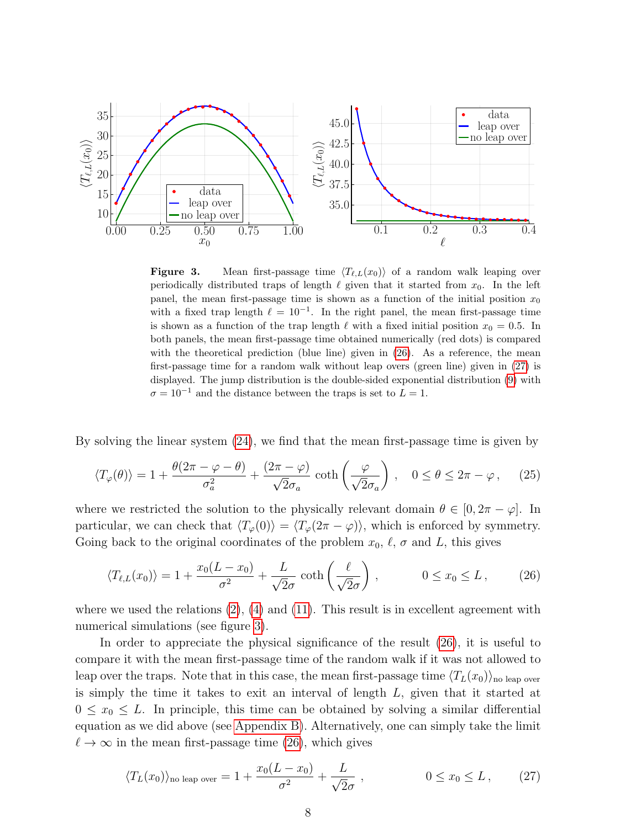

<span id="page-7-3"></span><span id="page-7-2"></span>**Figure 3.** Mean first-passage time  $\langle T_{\ell,L}(x_0) \rangle$  of a random walk leaping over periodically distributed traps of length  $\ell$  given that it started from  $x_0$ . In the left panel, the mean first-passage time is shown as a function of the initial position  $x_0$ with a fixed trap length  $\ell = 10^{-1}$ . In the right panel, the mean first-passage time is shown as a function of the trap length  $\ell$  with a fixed initial position  $x_0 = 0.5$ . In both panels, the mean first-passage time obtained numerically (red dots) is compared with the theoretical prediction (blue line) given in  $(26)$ . As a reference, the mean first-passage time for a random walk without leap overs (green line) given in [\(27\)](#page-7-1) is displayed. The jump distribution is the double-sided exponential distribution [\(9\)](#page-4-0) with  $\sigma = 10^{-1}$  and the distance between the traps is set to  $L = 1$ .

By solving the linear system [\(24\)](#page-6-2), we find that the mean first-passage time is given by

$$
\langle T_{\varphi}(\theta) \rangle = 1 + \frac{\theta(2\pi - \varphi - \theta)}{\sigma_a^2} + \frac{(2\pi - \varphi)}{\sqrt{2}\sigma_a} \coth\left(\frac{\varphi}{\sqrt{2}\sigma_a}\right), \quad 0 \le \theta \le 2\pi - \varphi, \quad (25)
$$

where we restricted the solution to the physically relevant domain  $\theta \in [0, 2\pi - \varphi]$ . In particular, we can check that  $\langle T_{\varphi}(0)\rangle = \langle T_{\varphi}(2\pi - \varphi)\rangle$ , which is enforced by symmetry. Going back to the original coordinates of the problem  $x_0, \ell, \sigma$  and L, this gives

<span id="page-7-0"></span>
$$
\langle T_{\ell,L}(x_0) \rangle = 1 + \frac{x_0(L - x_0)}{\sigma^2} + \frac{L}{\sqrt{2}\sigma} \coth\left(\frac{\ell}{\sqrt{2}\sigma}\right), \qquad 0 \le x_0 \le L, \qquad (26)
$$

where we used the relations  $(2)$ ,  $(4)$  and  $(11)$ . This result is in excellent agreement with numerical simulations (see figure [3\)](#page-7-2).

In order to appreciate the physical significance of the result [\(26\)](#page-7-0), it is useful to compare it with the mean first-passage time of the random walk if it was not allowed to leap over the traps. Note that in this case, the mean first-passage time  $\langle T_L(x_0) \rangle_{\text{no leap over}}$ is simply the time it takes to exit an interval of length L, given that it started at  $0 \leq x_0 \leq L$ . In principle, this time can be obtained by solving a similar differential equation as we did above (see [Appendix B\)](#page-22-0). Alternatively, one can simply take the limit  $\ell \to \infty$  in the mean first-passage time [\(26\)](#page-7-0), which gives

<span id="page-7-1"></span>
$$
\langle T_L(x_0) \rangle_{\text{no leap over}} = 1 + \frac{x_0(L - x_0)}{\sigma^2} + \frac{L}{\sqrt{2}\sigma}, \qquad 0 \le x_0 \le L, \qquad (27)
$$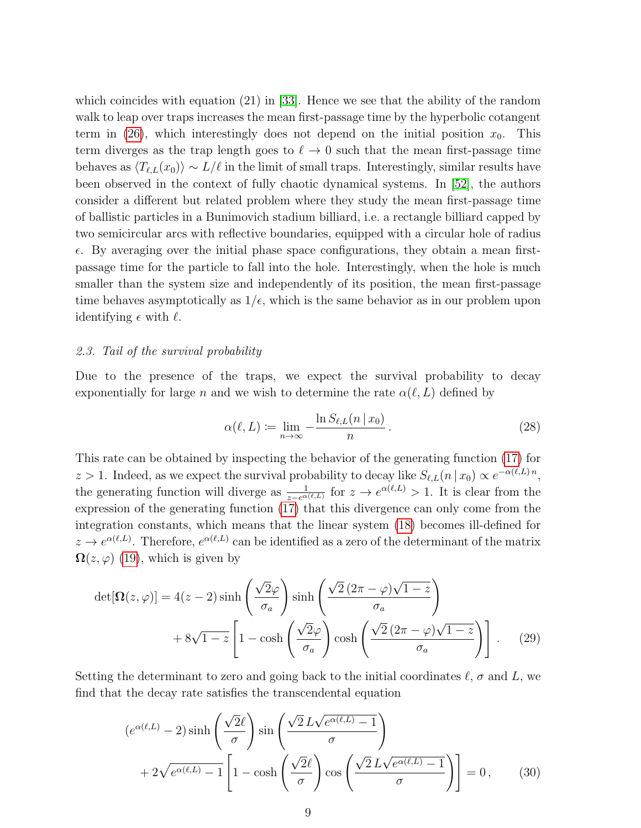which coincides with equation (21) in [\[33\]](#page-27-5). Hence we see that the ability of the random walk to leap over traps increases the mean first-passage time by the hyperbolic cotangent term in [\(26\)](#page-7-0), which interestingly does not depend on the initial position  $x_0$ . This term diverges as the trap length goes to  $\ell \to 0$  such that the mean first-passage time behaves as  $\langle T_{\ell,L}(x_0)\rangle \sim L/\ell$  in the limit of small traps. Interestingly, similar results have been observed in the context of fully chaotic dynamical systems. In [\[52\]](#page-28-3), the authors consider a different but related problem where they study the mean first-passage time of ballistic particles in a Bunimovich stadium billiard, i.e. a rectangle billiard capped by two semicircular arcs with reflective boundaries, equipped with a circular hole of radius  $\epsilon$ . By averaging over the initial phase space configurations, they obtain a mean firstpassage time for the particle to fall into the hole. Interestingly, when the hole is much smaller than the system size and independently of its position, the mean first-passage time behaves asymptotically as  $1/\epsilon$ , which is the same behavior as in our problem upon identifying  $\epsilon$  with  $\ell$ .

### <span id="page-8-2"></span>2.3. Tail of the survival probability

Due to the presence of the traps, we expect the survival probability to decay exponentially for large n and we wish to determine the rate  $\alpha(\ell, L)$  defined by

<span id="page-8-3"></span><span id="page-8-0"></span>
$$
\alpha(\ell, L) := \lim_{n \to \infty} -\frac{\ln S_{\ell, L}(n \mid x_0)}{n} \,. \tag{28}
$$

This rate can be obtained by inspecting the behavior of the generating function [\(17\)](#page-5-4) for z > 1. Indeed, as we expect the survival probability to decay like  $S_{\ell,L}(n | x_0) \propto e^{-\alpha(\ell,L) n}$ , the generating function will diverge as  $\frac{1}{z-e^{\alpha(\ell,L)}}$  for  $z \to e^{\alpha(\ell,L)} > 1$ . It is clear from the expression of the generating function [\(17\)](#page-5-4) that this divergence can only come from the integration constants, which means that the linear system [\(18\)](#page-5-2) becomes ill-defined for  $z \to e^{\alpha(\ell,L)}$ . Therefore,  $e^{\alpha(\ell,L)}$  can be identified as a zero of the determinant of the matrix  $\Omega(z,\varphi)$  [\(19\)](#page-5-5), which is given by

$$
\det[\mathbf{\Omega}(z,\varphi)] = 4(z-2)\sinh\left(\frac{\sqrt{2}\varphi}{\sigma_a}\right)\sinh\left(\frac{\sqrt{2}(2\pi-\varphi)\sqrt{1-z}}{\sigma_a}\right) + 8\sqrt{1-z}\left[1-\cosh\left(\frac{\sqrt{2}\varphi}{\sigma_a}\right)\cosh\left(\frac{\sqrt{2}(2\pi-\varphi)\sqrt{1-z}}{\sigma_a}\right)\right].
$$
 (29)

Setting the determinant to zero and going back to the initial coordinates  $\ell$ ,  $\sigma$  and L, we find that the decay rate satisfies the transcendental equation

<span id="page-8-1"></span>
$$
(e^{\alpha(\ell,L)} - 2) \sinh\left(\frac{\sqrt{2}\ell}{\sigma}\right) \sin\left(\frac{\sqrt{2}L\sqrt{e^{\alpha(\ell,L)} - 1}}{\sigma}\right) + 2\sqrt{e^{\alpha(\ell,L)} - 1} \left[1 - \cosh\left(\frac{\sqrt{2}\ell}{\sigma}\right) \cos\left(\frac{\sqrt{2}L\sqrt{e^{\alpha(\ell,L)} - 1}}{\sigma}\right)\right] = 0, \quad (30)
$$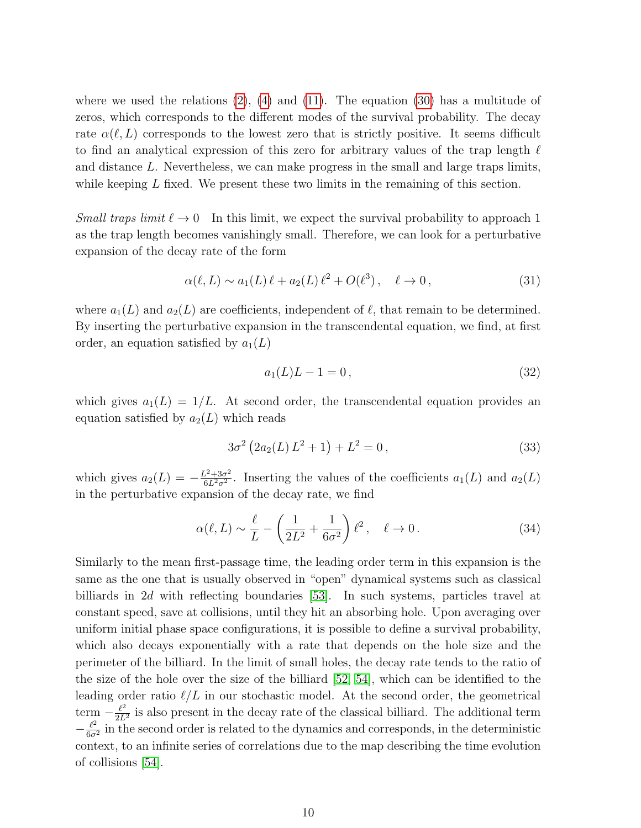where we used the relations  $(2)$ ,  $(4)$  and  $(11)$ . The equation  $(30)$  has a multitude of zeros, which corresponds to the different modes of the survival probability. The decay rate  $\alpha(\ell, L)$  corresponds to the lowest zero that is strictly positive. It seems difficult to find an analytical expression of this zero for arbitrary values of the trap length  $\ell$ and distance L. Nevertheless, we can make progress in the small and large traps limits, while keeping L fixed. We present these two limits in the remaining of this section.

*Small traps limit*  $\ell \to 0$  In this limit, we expect the survival probability to approach 1 as the trap length becomes vanishingly small. Therefore, we can look for a perturbative expansion of the decay rate of the form

$$
\alpha(\ell, L) \sim a_1(L)\,\ell + a_2(L)\,\ell^2 + O(\ell^3), \quad \ell \to 0,
$$
\n(31)

where  $a_1(L)$  and  $a_2(L)$  are coefficients, independent of  $\ell$ , that remain to be determined. By inserting the perturbative expansion in the transcendental equation, we find, at first order, an equation satisfied by  $a_1(L)$ 

<span id="page-9-0"></span>
$$
a_1(L)L - 1 = 0, \t\t(32)
$$

which gives  $a_1(L) = 1/L$ . At second order, the transcendental equation provides an equation satisfied by  $a_2(L)$  which reads

$$
3\sigma^2 \left(2a_2(L) L^2 + 1\right) + L^2 = 0, \tag{33}
$$

which gives  $a_2(L) = -\frac{L^2 + 3\sigma^2}{6L^2\sigma^2}$  $\frac{f^2+3\sigma^2}{6L^2\sigma^2}$ . Inserting the values of the coefficients  $a_1(L)$  and  $a_2(L)$ in the perturbative expansion of the decay rate, we find

$$
\alpha(\ell, L) \sim \frac{\ell}{L} - \left(\frac{1}{2L^2} + \frac{1}{6\sigma^2}\right)\ell^2, \quad \ell \to 0.
$$
 (34)

Similarly to the mean first-passage time, the leading order term in this expansion is the same as the one that is usually observed in "open" dynamical systems such as classical billiards in 2d with reflecting boundaries [\[53\]](#page-28-4). In such systems, particles travel at constant speed, save at collisions, until they hit an absorbing hole. Upon averaging over uniform initial phase space configurations, it is possible to define a survival probability, which also decays exponentially with a rate that depends on the hole size and the perimeter of the billiard. In the limit of small holes, the decay rate tends to the ratio of the size of the hole over the size of the billiard [\[52,](#page-28-3) [54\]](#page-28-5), which can be identified to the leading order ratio  $\ell/L$  in our stochastic model. At the second order, the geometrical term  $-\frac{\ell^2}{2L}$  $\frac{l^2}{2L^2}$  is also present in the decay rate of the classical billiard. The additional term  $-\frac{\ell^2}{6\sigma}$  $\frac{l^2}{6\sigma^2}$  in the second order is related to the dynamics and corresponds, in the deterministic context, to an infinite series of correlations due to the map describing the time evolution of collisions [\[54\]](#page-28-5).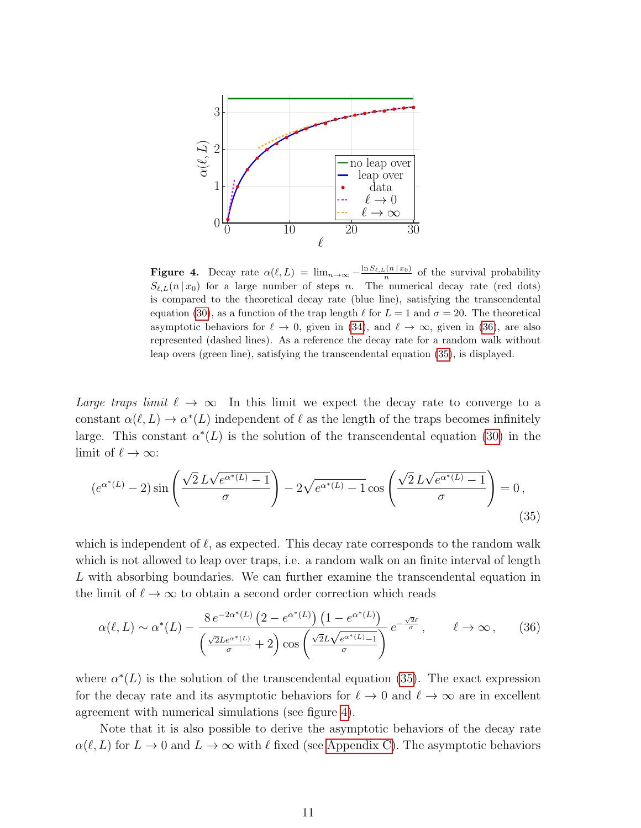

<span id="page-10-2"></span>**Figure 4.** Decay rate  $\alpha(\ell, L) = \lim_{n \to \infty} -\frac{\ln S_{\ell, L}(n \mid x_0)}{n}$  of the survival probability  $S_{\ell,L}(n | x_0)$  for a large number of steps n. The numerical decay rate (red dots) is compared to the theoretical decay rate (blue line), satisfying the transcendental equation [\(30\)](#page-8-1), as a function of the trap length  $\ell$  for  $L = 1$  and  $\sigma = 20$ . The theoretical asymptotic behaviors for  $\ell \to 0$ , given in [\(34\)](#page-9-0), and  $\ell \to \infty$ , given in [\(36\)](#page-10-0), are also represented (dashed lines). As a reference the decay rate for a random walk without leap overs (green line), satisfying the transcendental equation [\(35\)](#page-10-1), is displayed.

Large traps limit  $\ell \to \infty$  In this limit we expect the decay rate to converge to a constant  $\alpha(\ell, L) \to \alpha^*(L)$  independent of  $\ell$  as the length of the traps becomes infinitely large. This constant  $\alpha^*(L)$  is the solution of the transcendental equation [\(30\)](#page-8-1) in the limit of  $\ell \to \infty$ :

<span id="page-10-1"></span>
$$
\left(e^{\alpha^*(L)} - 2\right)\sin\left(\frac{\sqrt{2}L\sqrt{e^{\alpha^*(L)} - 1}}{\sigma}\right) - 2\sqrt{e^{\alpha^*(L)} - 1}\cos\left(\frac{\sqrt{2}L\sqrt{e^{\alpha^*(L)} - 1}}{\sigma}\right) = 0,
$$
\n(35)

which is independent of  $\ell$ , as expected. This decay rate corresponds to the random walk which is not allowed to leap over traps, i.e. a random walk on an finite interval of length L with absorbing boundaries. We can further examine the transcendental equation in the limit of  $\ell \to \infty$  to obtain a second order correction which reads

<span id="page-10-0"></span>
$$
\alpha(\ell, L) \sim \alpha^*(L) - \frac{8 e^{-2\alpha^*(L)} \left(2 - e^{\alpha^*(L)}\right) \left(1 - e^{\alpha^*(L)}\right)}{\left(\frac{\sqrt{2}L e^{\alpha^*(L)}}{\sigma} + 2\right) \cos\left(\frac{\sqrt{2}L \sqrt{e^{\alpha^*(L)} - 1}}{\sigma}\right)} e^{-\frac{\sqrt{2}\ell}{\sigma}}, \qquad \ell \to \infty,
$$
 (36)

where  $\alpha^*(L)$  is the solution of the transcendental equation [\(35\)](#page-10-1). The exact expression for the decay rate and its asymptotic behaviors for  $\ell \to 0$  and  $\ell \to \infty$  are in excellent agreement with numerical simulations (see figure [4\)](#page-10-2).

Note that it is also possible to derive the asymptotic behaviors of the decay rate  $\alpha(\ell, L)$  for  $L \to 0$  and  $L \to \infty$  with  $\ell$  fixed (see [Appendix C\)](#page-23-0). The asymptotic behaviors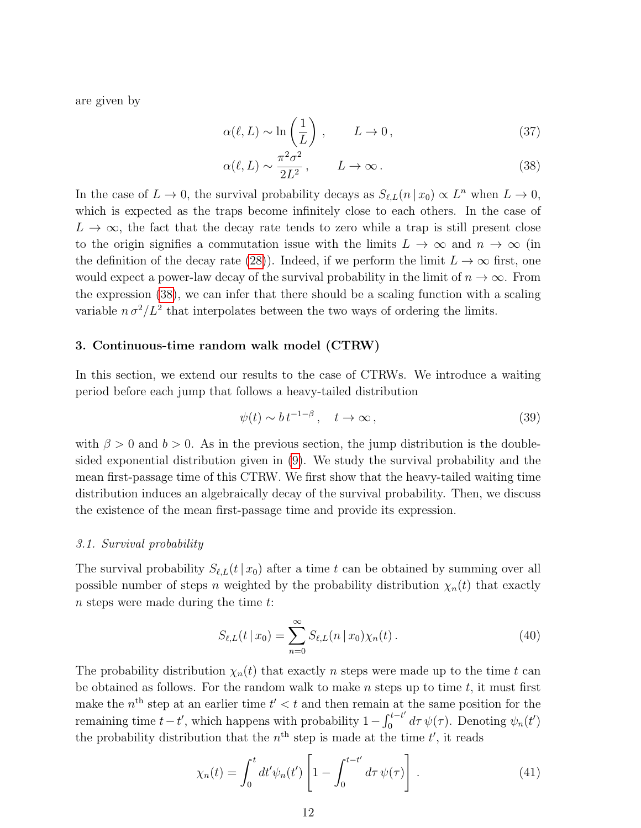are given by

<span id="page-11-5"></span>
$$
\alpha(\ell, L) \sim \ln\left(\frac{1}{L}\right) , \qquad L \to 0 , \tag{37}
$$

<span id="page-11-1"></span>
$$
\alpha(\ell, L) \sim \frac{\pi^2 \sigma^2}{2L^2}, \qquad L \to \infty.
$$
 (38)

In the case of  $L \to 0$ , the survival probability decays as  $S_{\ell,L}(n | x_0) \propto L^n$  when  $L \to 0$ , which is expected as the traps become infinitely close to each others. In the case of  $L \to \infty$ , the fact that the decay rate tends to zero while a trap is still present close to the origin signifies a commutation issue with the limits  $L \to \infty$  and  $n \to \infty$  (in the definition of the decay rate [\(28\)](#page-8-0)). Indeed, if we perform the limit  $L \to \infty$  first, one would expect a power-law decay of the survival probability in the limit of  $n \to \infty$ . From the expression [\(38\)](#page-11-1), we can infer that there should be a scaling function with a scaling variable  $n \sigma^2 / L^2$  that interpolates between the two ways of ordering the limits.

### <span id="page-11-0"></span>3. Continuous-time random walk model (CTRW)

In this section, we extend our results to the case of CTRWs. We introduce a waiting period before each jump that follows a heavy-tailed distribution

<span id="page-11-4"></span>
$$
\psi(t) \sim b \, t^{-1-\beta} \,, \quad t \to \infty \,, \tag{39}
$$

with  $\beta > 0$  and  $b > 0$ . As in the previous section, the jump distribution is the doublesided exponential distribution given in [\(9\)](#page-4-0). We study the survival probability and the mean first-passage time of this CTRW. We first show that the heavy-tailed waiting time distribution induces an algebraically decay of the survival probability. Then, we discuss the existence of the mean first-passage time and provide its expression.

### 3.1. Survival probability

The survival probability  $S_{\ell,L}(t|x_0)$  after a time t can be obtained by summing over all possible number of steps n weighted by the probability distribution  $\chi_n(t)$  that exactly  $n$  steps were made during the time  $t$ :

<span id="page-11-3"></span>
$$
S_{\ell,L}(t \mid x_0) = \sum_{n=0}^{\infty} S_{\ell,L}(n \mid x_0) \chi_n(t).
$$
 (40)

The probability distribution  $\chi_n(t)$  that exactly n steps were made up to the time t can be obtained as follows. For the random walk to make n steps up to time  $t$ , it must first make the  $n<sup>th</sup>$  step at an earlier time  $t' < t$  and then remain at the same position for the remaining time  $t-t'$ , which happens with probability  $1-\int_0^{t-t'}$  $v_0^{t-t'} d\tau \psi(\tau)$ . Denoting  $\psi_n(t')$ the probability distribution that the  $n<sup>th</sup>$  step is made at the time  $t'$ , it reads

<span id="page-11-2"></span>
$$
\chi_n(t) = \int_0^t dt' \psi_n(t') \left[ 1 - \int_0^{t-t'} d\tau \, \psi(\tau) \right]. \tag{41}
$$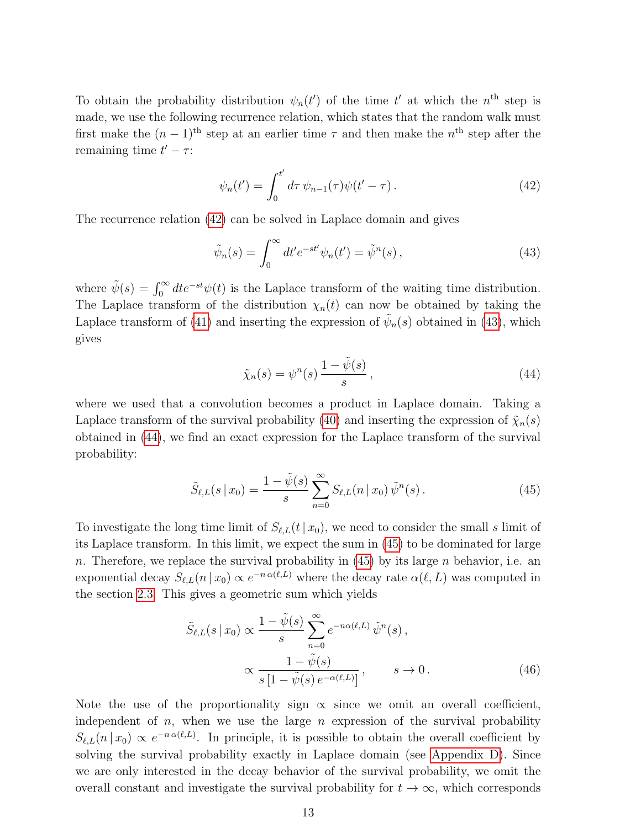To obtain the probability distribution  $\psi_n(t')$  of the time t' at which the  $n<sup>th</sup>$  step is made, we use the following recurrence relation, which states that the random walk must first make the  $(n-1)$ <sup>th</sup> step at an earlier time  $\tau$  and then make the  $n<sup>th</sup>$  step after the remaining time  $t' - \tau$ :

<span id="page-12-0"></span>
$$
\psi_n(t') = \int_0^{t'} d\tau \, \psi_{n-1}(\tau) \psi(t'-\tau) \,. \tag{42}
$$

The recurrence relation [\(42\)](#page-12-0) can be solved in Laplace domain and gives

$$
\tilde{\psi}_n(s) = \int_0^\infty dt' e^{-st'} \psi_n(t') = \tilde{\psi}^n(s) , \qquad (43)
$$

where  $\tilde{\psi}(s) = \int_0^\infty dt e^{-st} \psi(t)$  is the Laplace transform of the waiting time distribution. The Laplace transform of the distribution  $\chi_n(t)$  can now be obtained by taking the Laplace transform of [\(41\)](#page-11-2) and inserting the expression of  $\tilde{\psi}_n(s)$  obtained in [\(43\)](#page-12-1), which gives

<span id="page-12-3"></span><span id="page-12-2"></span><span id="page-12-1"></span>
$$
\tilde{\chi}_n(s) = \psi^n(s) \frac{1 - \tilde{\psi}(s)}{s},\tag{44}
$$

where we used that a convolution becomes a product in Laplace domain. Taking a Laplace transform of the survival probability [\(40\)](#page-11-3) and inserting the expression of  $\tilde{\chi}_n(s)$ obtained in [\(44\)](#page-12-2), we find an exact expression for the Laplace transform of the survival probability:

$$
\tilde{S}_{\ell,L}(s \mid x_0) = \frac{1 - \tilde{\psi}(s)}{s} \sum_{n=0}^{\infty} S_{\ell,L}(n \mid x_0) \, \tilde{\psi}^n(s) \,. \tag{45}
$$

To investigate the long time limit of  $S_{\ell,L}(t|x_0)$ , we need to consider the small s limit of its Laplace transform. In this limit, we expect the sum in [\(45\)](#page-12-3) to be dominated for large n. Therefore, we replace the survival probability in  $(45)$  by its large n behavior, i.e. an exponential decay  $S_{\ell,L}(n | x_0) \propto e^{-n \alpha(\ell,L)}$  where the decay rate  $\alpha(\ell,L)$  was computed in the section [2.3.](#page-8-2) This gives a geometric sum which yields

<span id="page-12-4"></span>
$$
\tilde{S}_{\ell,L}(s \mid x_0) \propto \frac{1 - \tilde{\psi}(s)}{s} \sum_{n=0}^{\infty} e^{-n\alpha(\ell,L)} \tilde{\psi}^n(s),
$$
  

$$
\propto \frac{1 - \tilde{\psi}(s)}{s \left[1 - \tilde{\psi}(s) e^{-\alpha(\ell,L)}\right]}, \qquad s \to 0.
$$
 (46)

Note the use of the proportionality sign  $\alpha$  since we omit an overall coefficient, independent of  $n$ , when we use the large  $n$  expression of the survival probability  $S_{\ell,L}(n | x_0) \propto e^{-n \alpha(\ell,L)}$ . In principle, it is possible to obtain the overall coefficient by solving the survival probability exactly in Laplace domain (see [Appendix D\)](#page-24-0). Since we are only interested in the decay behavior of the survival probability, we omit the overall constant and investigate the survival probability for  $t \to \infty$ , which corresponds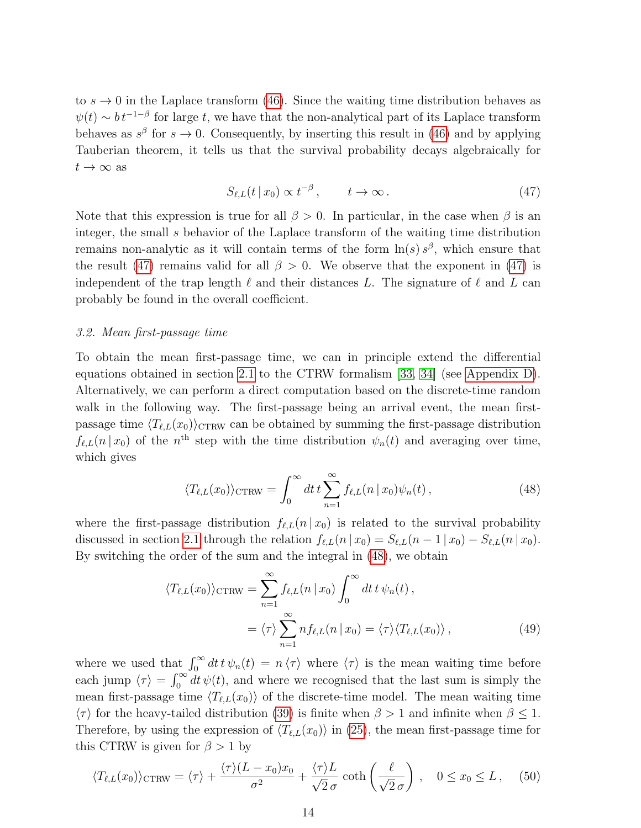to  $s \to 0$  in the Laplace transform [\(46\)](#page-12-4). Since the waiting time distribution behaves as  $\psi(t) \sim b t^{-1-\beta}$  for large t, we have that the non-analytical part of its Laplace transform behaves as  $s^{\beta}$  for  $s \to 0$ . Consequently, by inserting this result in [\(46\)](#page-12-4) and by applying Tauberian theorem, it tells us that the survival probability decays algebraically for  $t \to \infty$  as

<span id="page-13-0"></span>
$$
S_{\ell,L}(t \,|\, x_0) \propto t^{-\beta} \,, \qquad t \to \infty \,. \tag{47}
$$

Note that this expression is true for all  $\beta > 0$ . In particular, in the case when  $\beta$  is an integer, the small s behavior of the Laplace transform of the waiting time distribution remains non-analytic as it will contain terms of the form  $\ln(s) s^{\beta}$ , which ensure that the result [\(47\)](#page-13-0) remains valid for all  $\beta > 0$ . We observe that the exponent in (47) is independent of the trap length  $\ell$  and their distances L. The signature of  $\ell$  and L can probably be found in the overall coefficient.

### 3.2. Mean first-passage time

To obtain the mean first-passage time, we can in principle extend the differential equations obtained in section [2.1](#page-2-3) to the CTRW formalism [\[33,](#page-27-5) [34\]](#page-27-6) (see [Appendix D\)](#page-24-0). Alternatively, we can perform a direct computation based on the discrete-time random walk in the following way. The first-passage being an arrival event, the mean firstpassage time  $\langle T_{\ell,L}(x_0)\rangle$ <sub>CTRW</sub> can be obtained by summing the first-passage distribution  $f_{\ell,L}(n | x_0)$  of the n<sup>th</sup> step with the time distribution  $\psi_n(t)$  and averaging over time, which gives

<span id="page-13-1"></span>
$$
\langle T_{\ell,L}(x_0) \rangle_{\text{CTRW}} = \int_0^\infty dt \, t \sum_{n=1}^\infty f_{\ell,L}(n \mid x_0) \psi_n(t) \,, \tag{48}
$$

where the first-passage distribution  $f_{\ell,L}(n | x_0)$  is related to the survival probability discussed in section [2.1](#page-2-3) through the relation  $f_{\ell,L}(n | x_0) = S_{\ell,L}(n - 1 | x_0) - S_{\ell,L}(n | x_0).$ By switching the order of the sum and the integral in [\(48\)](#page-13-1), we obtain

<span id="page-13-2"></span>
$$
\langle T_{\ell,L}(x_0) \rangle_{\text{CTRW}} = \sum_{n=1}^{\infty} f_{\ell,L}(n \mid x_0) \int_0^{\infty} dt \, t \, \psi_n(t) ,
$$

$$
= \langle \tau \rangle \sum_{n=1}^{\infty} n f_{\ell,L}(n \mid x_0) = \langle \tau \rangle \langle T_{\ell,L}(x_0) \rangle , \tag{49}
$$

where we used that  $\int_0^\infty dt \, t \psi_n(t) = n \langle \tau \rangle$  where  $\langle \tau \rangle$  is the mean waiting time before each jump  $\langle \tau \rangle = \int_0^\infty dt \, \psi(t)$ , and where we recognised that the last sum is simply the mean first-passage time  $\langle T_{\ell,L}(x_0)\rangle$  of the discrete-time model. The mean waiting time  $\langle \tau \rangle$  for the heavy-tailed distribution [\(39\)](#page-11-4) is finite when  $\beta > 1$  and infinite when  $\beta \leq 1$ . Therefore, by using the expression of  $\langle T_{\ell,L}(x_0)\rangle$  in [\(25\)](#page-7-3), the mean first-passage time for this CTRW is given for  $\beta > 1$  by

$$
\langle T_{\ell,L}(x_0) \rangle_{\text{CTRW}} = \langle \tau \rangle + \frac{\langle \tau \rangle (L - x_0) x_0}{\sigma^2} + \frac{\langle \tau \rangle L}{\sqrt{2} \sigma} \coth\left(\frac{\ell}{\sqrt{2} \sigma}\right), \quad 0 \le x_0 \le L, \quad (50)
$$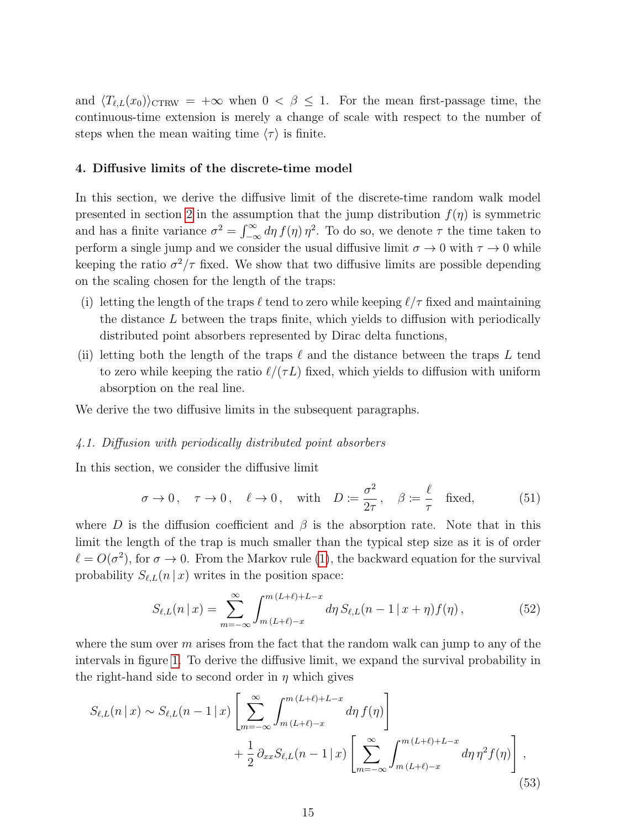and  $\langle T_{\ell,L}(x_0)\rangle$ <sub>CTRW</sub> =  $+\infty$  when  $0 < \beta \leq 1$ . For the mean first-passage time, the continuous-time extension is merely a change of scale with respect to the number of steps when the mean waiting time  $\langle \tau \rangle$  is finite.

### <span id="page-14-0"></span>4. Diffusive limits of the discrete-time model

In this section, we derive the diffusive limit of the discrete-time random walk model presented in section [2](#page-2-1) in the assumption that the jump distribution  $f(\eta)$  is symmetric and has a finite variance  $\sigma^2 = \int_{-\infty}^{\infty} d\eta f(\eta) \eta^2$ . To do so, we denote  $\tau$  the time taken to perform a single jump and we consider the usual diffusive limit  $\sigma \to 0$  with  $\tau \to 0$  while keeping the ratio  $\sigma^2/\tau$  fixed. We show that two diffusive limits are possible depending on the scaling chosen for the length of the traps:

- (i) letting the length of the traps  $\ell$  tend to zero while keeping  $\ell/\tau$  fixed and maintaining the distance  $L$  between the traps finite, which yields to diffusion with periodically distributed point absorbers represented by Dirac delta functions,
- (ii) letting both the length of the traps  $\ell$  and the distance between the traps L tend to zero while keeping the ratio  $\ell/(\tau L)$  fixed, which yields to diffusion with uniform absorption on the real line.

We derive the two diffusive limits in the subsequent paragraphs.

### 4.1. Diffusion with periodically distributed point absorbers

In this section, we consider the diffusive limit

$$
\sigma \to 0, \quad \tau \to 0, \quad \ell \to 0, \quad \text{with} \quad D := \frac{\sigma^2}{2\tau}, \quad \beta := \frac{\ell}{\tau} \quad \text{fixed}, \tag{51}
$$

where D is the diffusion coefficient and  $\beta$  is the absorption rate. Note that in this limit the length of the trap is much smaller than the typical step size as it is of order  $\ell = O(\sigma^2)$ , for  $\sigma \to 0$ . From the Markov rule [\(1\)](#page-1-0), the backward equation for the survival probability  $S_{\ell,L}(n | x)$  writes in the position space:

<span id="page-14-2"></span><span id="page-14-1"></span>
$$
S_{\ell,L}(n \mid x) = \sum_{m = -\infty}^{\infty} \int_{m(L+\ell)-x}^{m(L+\ell)+L-x} d\eta \, S_{\ell,L}(n-1 \mid x+\eta) f(\eta) \,, \tag{52}
$$

where the sum over  $m$  arises from the fact that the random walk can jump to any of the intervals in figure [1.](#page-2-0) To derive the diffusive limit, we expand the survival probability in the right-hand side to second order in  $\eta$  which gives

$$
S_{\ell,L}(n \mid x) \sim S_{\ell,L}(n-1 \mid x) \left[ \sum_{m=-\infty}^{\infty} \int_{m(L+\ell)-x}^{m(L+\ell)+L-x} d\eta f(\eta) \right] + \frac{1}{2} \partial_{xx} S_{\ell,L}(n-1 \mid x) \left[ \sum_{m=-\infty}^{\infty} \int_{m(L+\ell)-x}^{m(L+\ell)+L-x} d\eta \, \eta^2 f(\eta) \right],
$$
\n(53)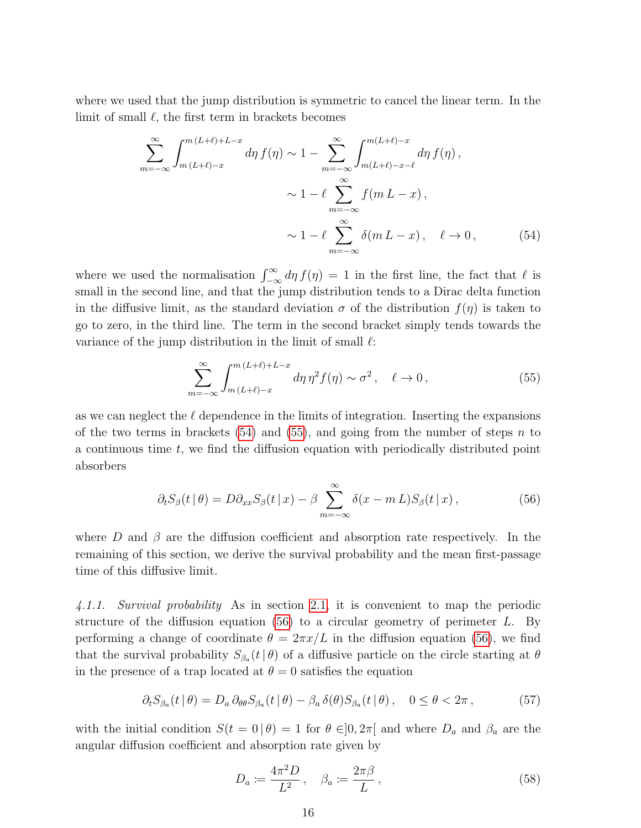where we used that the jump distribution is symmetric to cancel the linear term. In the limit of small  $\ell$ , the first term in brackets becomes

$$
\sum_{m=-\infty}^{\infty} \int_{m(L+\ell)-x}^{m(L+\ell)+L-x} d\eta f(\eta) \sim 1 - \sum_{m=-\infty}^{\infty} \int_{m(L+\ell)-x-\ell}^{m(L+\ell)-x} d\eta f(\eta),
$$
  

$$
\sim 1 - \ell \sum_{m=-\infty}^{\infty} f(m L - x),
$$
  

$$
\sim 1 - \ell \sum_{m=-\infty}^{\infty} \delta(m L - x), \quad \ell \to 0,
$$
 (54)

where we used the normalisation  $\int_{-\infty}^{\infty} d\eta f(\eta) = 1$  in the first line, the fact that  $\ell$  is small in the second line, and that the jump distribution tends to a Dirac delta function in the diffusive limit, as the standard deviation  $\sigma$  of the distribution  $f(\eta)$  is taken to go to zero, in the third line. The term in the second bracket simply tends towards the variance of the jump distribution in the limit of small  $\ell$ :

<span id="page-15-2"></span><span id="page-15-1"></span><span id="page-15-0"></span>
$$
\sum_{m=-\infty}^{\infty} \int_{m(L+\ell)-x}^{m(L+\ell)+L-x} d\eta \, \eta^2 f(\eta) \sim \sigma^2 \,, \quad \ell \to 0 \,, \tag{55}
$$

as we can neglect the  $\ell$  dependence in the limits of integration. Inserting the expansions of the two terms in brackets  $(54)$  and  $(55)$ , and going from the number of steps n to a continuous time  $t$ , we find the diffusion equation with periodically distributed point absorbers

$$
\partial_t S_{\beta}(t | \theta) = D \partial_{xx} S_{\beta}(t | x) - \beta \sum_{m=-\infty}^{\infty} \delta(x - m L) S_{\beta}(t | x), \qquad (56)
$$

where D and  $\beta$  are the diffusion coefficient and absorption rate respectively. In the remaining of this section, we derive the survival probability and the mean first-passage time of this diffusive limit.

4.1.1. Survival probability As in section [2.1,](#page-2-3) it is convenient to map the periodic structure of the diffusion equation [\(56\)](#page-15-0) to a circular geometry of perimeter  $L$ . By performing a change of coordinate  $\theta = 2\pi x/L$  in the diffusion equation [\(56\)](#page-15-0), we find that the survival probability  $S_{\beta_a}(t | \theta)$  of a diffusive particle on the circle starting at  $\theta$ in the presence of a trap located at  $\theta = 0$  satisfies the equation

$$
\partial_t S_{\beta_a}(t \,|\, \theta) = D_a \, \partial_{\theta \theta} S_{\beta_a}(t \,|\, \theta) - \beta_a \, \delta(\theta) S_{\beta_a}(t \,|\, \theta) \,, \quad 0 \le \theta < 2\pi \,, \tag{57}
$$

with the initial condition  $S(t = 0 | \theta) = 1$  for  $\theta \in ]0, 2\pi[$  and where  $D_a$  and  $\beta_a$  are the angular diffusion coefficient and absorption rate given by

<span id="page-15-4"></span><span id="page-15-3"></span>
$$
D_a := \frac{4\pi^2 D}{L^2}, \quad \beta_a := \frac{2\pi\beta}{L},\tag{58}
$$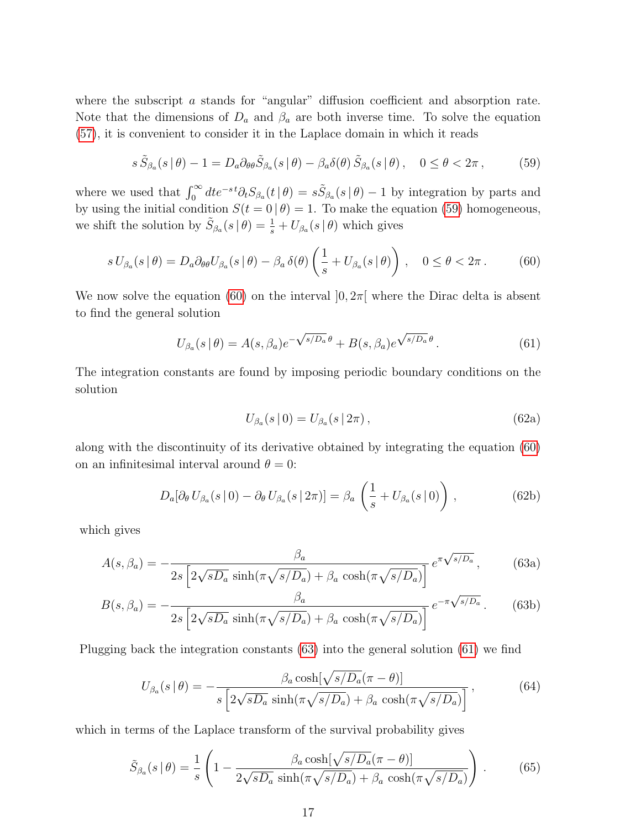where the subscript a stands for "angular" diffusion coefficient and absorption rate. Note that the dimensions of  $D_a$  and  $\beta_a$  are both inverse time. To solve the equation [\(57\)](#page-15-3), it is convenient to consider it in the Laplace domain in which it reads

$$
s\,\tilde{S}_{\beta_a}(s\,|\,\theta) - 1 = D_a \partial_{\theta\theta} \tilde{S}_{\beta_a}(s\,|\,\theta) - \beta_a \delta(\theta)\,\tilde{S}_{\beta_a}(s\,|\,\theta)\,, \quad 0 \le \theta < 2\pi\,,\tag{59}
$$

where we used that  $\int_0^\infty dt e^{-st} \partial_t S_{\beta_a}(t | \theta) = s \tilde{S}_{\beta_a}(s | \theta) - 1$  by integration by parts and by using the initial condition  $S(t = 0 | \theta) = 1$ . To make the equation [\(59\)](#page-16-0) homogeneous, we shift the solution by  $\tilde{S}_{\beta_a}(s \mid \theta) = \frac{1}{s} + U_{\beta_a}(s \mid \theta)$  which gives

$$
s U_{\beta_a}(s | \theta) = D_a \partial_{\theta \theta} U_{\beta_a}(s | \theta) - \beta_a \delta(\theta) \left(\frac{1}{s} + U_{\beta_a}(s | \theta)\right), \quad 0 \le \theta < 2\pi.
$$
 (60)

We now solve the equation [\(60\)](#page-16-1) on the interval  $[0, 2\pi]$  where the Dirac delta is absent to find the general solution

$$
U_{\beta_a}(s \mid \theta) = A(s, \beta_a) e^{-\sqrt{s/D_a} \theta} + B(s, \beta_a) e^{\sqrt{s/D_a} \theta}.
$$
 (61)

The integration constants are found by imposing periodic boundary conditions on the solution

<span id="page-16-3"></span><span id="page-16-2"></span><span id="page-16-1"></span><span id="page-16-0"></span>
$$
U_{\beta_a}(s \,|\, 0) = U_{\beta_a}(s \,|\, 2\pi) \,,\tag{62a}
$$

along with the discontinuity of its derivative obtained by integrating the equation [\(60\)](#page-16-1) on an infinitesimal interval around  $\theta = 0$ :

$$
D_a[\partial_\theta U_{\beta_a}(s \mid 0) - \partial_\theta U_{\beta_a}(s \mid 2\pi)] = \beta_a \left(\frac{1}{s} + U_{\beta_a}(s \mid 0)\right),\tag{62b}
$$

which gives

$$
A(s,\beta_a) = -\frac{\beta_a}{2s \left[2\sqrt{sD_a}\sinh(\pi\sqrt{s/D_a}) + \beta_a\cosh(\pi\sqrt{s/D_a})\right]}e^{\pi\sqrt{s/D_a}},\tag{63a}
$$

$$
B(s,\beta_a) = -\frac{\beta_a}{2s \left[2\sqrt{sD_a}\sinh(\pi\sqrt{s/D_a}) + \beta_a\cosh(\pi\sqrt{s/D_a})\right]}e^{-\pi\sqrt{s/D_a}}.\tag{63b}
$$

Plugging back the integration constants [\(63\)](#page-16-2) into the general solution [\(61\)](#page-16-3) we find

$$
U_{\beta_a}(s | \theta) = -\frac{\beta_a \cosh[\sqrt{s/D_a}(\pi - \theta)]}{s \left[2\sqrt{sD_a} \sinh(\pi \sqrt{s/D_a}) + \beta_a \cosh(\pi \sqrt{s/D_a})\right]},
$$
(64)

which in terms of the Laplace transform of the survival probability gives

<span id="page-16-4"></span>
$$
\tilde{S}_{\beta_a}(s \mid \theta) = \frac{1}{s} \left( 1 - \frac{\beta_a \cosh[\sqrt{s/D_a}(\pi - \theta)]}{2\sqrt{sD_a} \sinh(\pi \sqrt{s/D_a}) + \beta_a \cosh(\pi \sqrt{s/D_a})} \right). \tag{65}
$$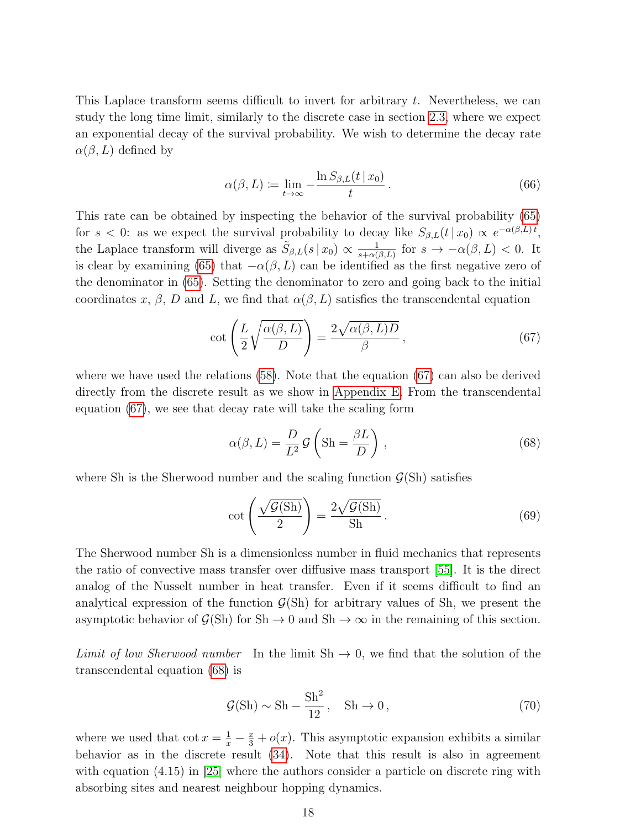This Laplace transform seems difficult to invert for arbitrary  $t$ . Nevertheless, we can study the long time limit, similarly to the discrete case in section [2.3,](#page-8-2) where we expect an exponential decay of the survival probability. We wish to determine the decay rate  $\alpha(\beta, L)$  defined by

$$
\alpha(\beta, L) := \lim_{t \to \infty} -\frac{\ln S_{\beta, L}(t \mid x_0)}{t} \,. \tag{66}
$$

This rate can be obtained by inspecting the behavior of the survival probability [\(65\)](#page-16-4) for  $s < 0$ : as we expect the survival probability to decay like  $S_{\beta,L}(t | x_0) \propto e^{-\alpha(\beta,L)t}$ , the Laplace transform will diverge as  $\tilde{S}_{\beta,L}(s \mid x_0) \propto \frac{1}{s+\alpha(}$  $\frac{1}{s+\alpha(\beta,L)}$  for  $s \to -\alpha(\beta,L) < 0$ . It is clear by examining [\(65\)](#page-16-4) that  $-\alpha(\beta, L)$  can be identified as the first negative zero of the denominator in [\(65\)](#page-16-4). Setting the denominator to zero and going back to the initial coordinates x,  $\beta$ , D and L, we find that  $\alpha(\beta, L)$  satisfies the transcendental equation

<span id="page-17-0"></span>
$$
\cot\left(\frac{L}{2}\sqrt{\frac{\alpha(\beta,L)}{D}}\right) = \frac{2\sqrt{\alpha(\beta,L)D}}{\beta},\tag{67}
$$

where we have used the relations [\(58\)](#page-15-4). Note that the equation [\(67\)](#page-17-0) can also be derived directly from the discrete result as we show in [Appendix E.](#page-25-0) From the transcendental equation [\(67\)](#page-17-0), we see that decay rate will take the scaling form

<span id="page-17-1"></span>
$$
\alpha(\beta, L) = \frac{D}{L^2} \mathcal{G} \left( \text{Sh} = \frac{\beta L}{D} \right), \qquad (68)
$$

where Sh is the Sherwood number and the scaling function  $\mathcal{G}(Sh)$  satisfies

$$
\cot\left(\frac{\sqrt{\mathcal{G}(\text{Sh})}}{2}\right) = \frac{2\sqrt{\mathcal{G}(\text{Sh})}}{\text{Sh}}.
$$
\n(69)

The Sherwood number Sh is a dimensionless number in fluid mechanics that represents the ratio of convective mass transfer over diffusive mass transport [\[55\]](#page-28-6). It is the direct analog of the Nusselt number in heat transfer. Even if it seems difficult to find an analytical expression of the function  $\mathcal{G}(Sh)$  for arbitrary values of Sh, we present the asymptotic behavior of  $\mathcal{G}(Sh)$  for  $Sh \to 0$  and  $Sh \to \infty$  in the remaining of this section.

Limit of low Sherwood number In the limit  $\text{Sh} \to 0$ , we find that the solution of the transcendental equation [\(68\)](#page-17-1) is

$$
\mathcal{G}(\text{Sh}) \sim \text{Sh} - \frac{\text{Sh}^2}{12}, \quad \text{Sh} \to 0, \tag{70}
$$

where we used that  $\cot x = \frac{1}{x} - \frac{x}{3} + o(x)$ . This asymptotic expansion exhibits a similar behavior as in the discrete result [\(34\)](#page-9-0). Note that this result is also in agreement with equation  $(4.15)$  in [\[25\]](#page-27-0) where the authors consider a particle on discrete ring with absorbing sites and nearest neighbour hopping dynamics.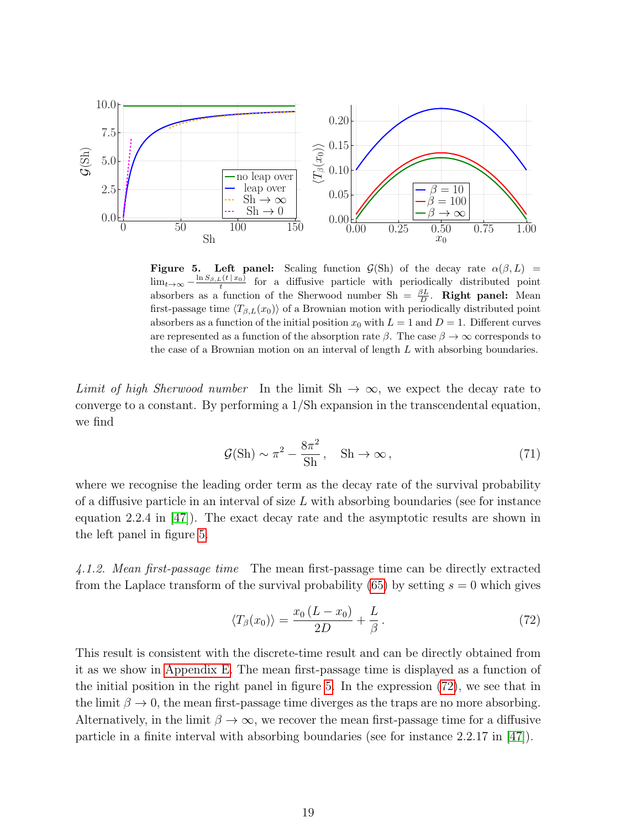

<span id="page-18-0"></span>**Figure 5.** Left panel: Scaling function  $\mathcal{G}(Sh)$  of the decay rate  $\alpha(\beta, L)$  =  $\lim_{t\to\infty}-\frac{\ln S_{\beta,L}(t|x_0)}{t}$  for a diffusive particle with periodically distributed point absorbers as a function of the Sherwood number Sh =  $\frac{\beta L}{D}$ . **Right panel:** Mean first-passage time  $\langle T_{\beta,L}(x_0) \rangle$  of a Brownian motion with periodically distributed point absorbers as a function of the initial position  $x_0$  with  $L = 1$  and  $D = 1$ . Different curves are represented as a function of the absorption rate  $\beta$ . The case  $\beta \to \infty$  corresponds to the case of a Brownian motion on an interval of length L with absorbing boundaries.

Limit of high Sherwood number In the limit Sh  $\rightarrow \infty$ , we expect the decay rate to converge to a constant. By performing a 1/Sh expansion in the transcendental equation, we find

$$
\mathcal{G}(\text{Sh}) \sim \pi^2 - \frac{8\pi^2}{\text{Sh}}, \quad \text{Sh} \to \infty, \tag{71}
$$

where we recognise the leading order term as the decay rate of the survival probability of a diffusive particle in an interval of size  $L$  with absorbing boundaries (see for instance equation 2.2.4 in [\[47\]](#page-27-12)). The exact decay rate and the asymptotic results are shown in the left panel in figure [5.](#page-18-0)

4.1.2. Mean first-passage time The mean first-passage time can be directly extracted from the Laplace transform of the survival probability [\(65\)](#page-16-4) by setting  $s = 0$  which gives

<span id="page-18-1"></span>
$$
\langle T_{\beta}(x_0) \rangle = \frac{x_0 \left( L - x_0 \right)}{2D} + \frac{L}{\beta} \,. \tag{72}
$$

This result is consistent with the discrete-time result and can be directly obtained from it as we show in [Appendix E.](#page-25-0) The mean first-passage time is displayed as a function of the initial position in the right panel in figure [5.](#page-18-0) In the expression [\(72\)](#page-18-1), we see that in the limit  $\beta \to 0$ , the mean first-passage time diverges as the traps are no more absorbing. Alternatively, in the limit  $\beta \to \infty$ , we recover the mean first-passage time for a diffusive particle in a finite interval with absorbing boundaries (see for instance 2.2.17 in [\[47\]](#page-27-12)).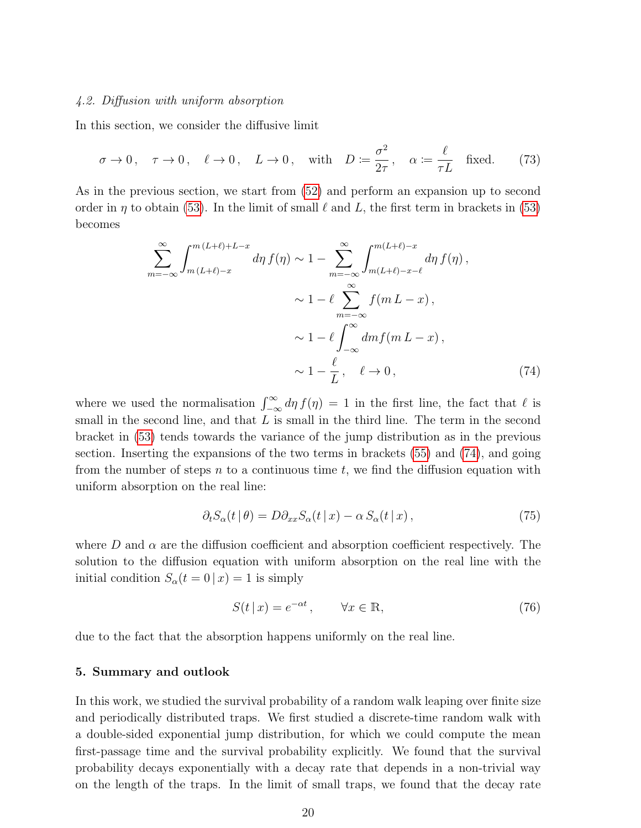### 4.2. Diffusion with uniform absorption

In this section, we consider the diffusive limit

$$
\sigma \to 0
$$
,  $\tau \to 0$ ,  $\ell \to 0$ ,  $L \to 0$ , with  $D := \frac{\sigma^2}{2\tau}$ ,  $\alpha := \frac{\ell}{\tau L}$  fixed. (73)

As in the previous section, we start from [\(52\)](#page-14-1) and perform an expansion up to second order in  $\eta$  to obtain [\(53\)](#page-14-2). In the limit of small  $\ell$  and L, the first term in brackets in (53) becomes

$$
\sum_{m=-\infty}^{\infty} \int_{m(L+\ell)+L-x}^{m(L+\ell)+L-x} d\eta f(\eta) \sim 1 - \sum_{m=-\infty}^{\infty} \int_{m(L+\ell)-x-\ell}^{m(L+\ell)-x} d\eta f(\eta),
$$
  

$$
\sim 1 - \ell \sum_{m=-\infty}^{\infty} f(m L - x),
$$
  

$$
\sim 1 - \ell \int_{-\infty}^{\infty} dm f(m L - x),
$$
  

$$
\sim 1 - \frac{\ell}{L}, \quad \ell \to 0,
$$
 (74)

where we used the normalisation  $\int_{-\infty}^{\infty} d\eta f(\eta) = 1$  in the first line, the fact that  $\ell$  is small in the second line, and that  $L$  is small in the third line. The term in the second bracket in [\(53\)](#page-14-2) tends towards the variance of the jump distribution as in the previous section. Inserting the expansions of the two terms in brackets [\(55\)](#page-15-2) and [\(74\)](#page-19-1), and going from the number of steps  $n$  to a continuous time  $t$ , we find the diffusion equation with uniform absorption on the real line:

<span id="page-19-1"></span>
$$
\partial_t S_\alpha(t \,|\, \theta) = D \partial_{xx} S_\alpha(t \,|\, x) - \alpha \, S_\alpha(t \,|\, x) \,, \tag{75}
$$

where D and  $\alpha$  are the diffusion coefficient and absorption coefficient respectively. The solution to the diffusion equation with uniform absorption on the real line with the initial condition  $S_{\alpha}(t=0|x)=1$  is simply

<span id="page-19-0"></span>
$$
S(t \mid x) = e^{-\alpha t}, \qquad \forall x \in \mathbb{R}, \tag{76}
$$

due to the fact that the absorption happens uniformly on the real line.

### 5. Summary and outlook

In this work, we studied the survival probability of a random walk leaping over finite size and periodically distributed traps. We first studied a discrete-time random walk with a double-sided exponential jump distribution, for which we could compute the mean first-passage time and the survival probability explicitly. We found that the survival probability decays exponentially with a decay rate that depends in a non-trivial way on the length of the traps. In the limit of small traps, we found that the decay rate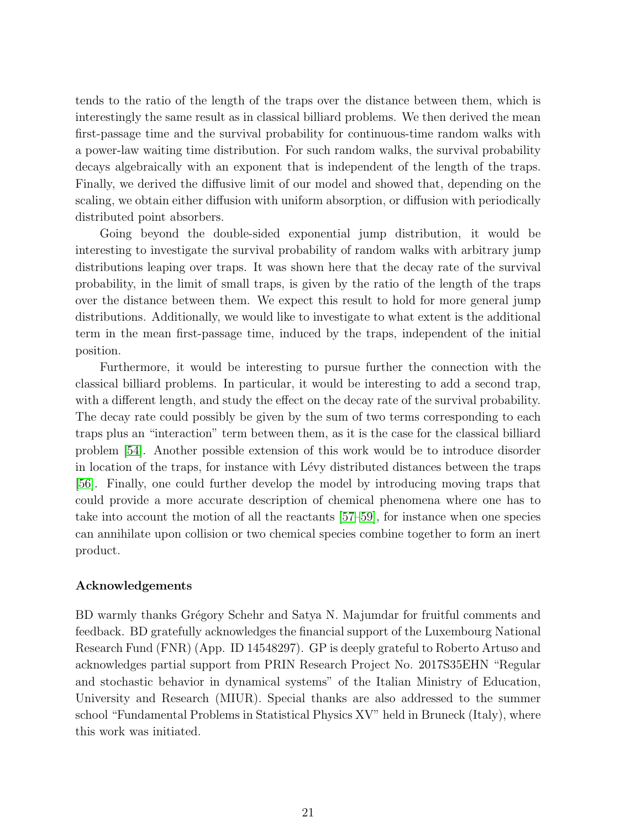tends to the ratio of the length of the traps over the distance between them, which is interestingly the same result as in classical billiard problems. We then derived the mean first-passage time and the survival probability for continuous-time random walks with a power-law waiting time distribution. For such random walks, the survival probability decays algebraically with an exponent that is independent of the length of the traps. Finally, we derived the diffusive limit of our model and showed that, depending on the scaling, we obtain either diffusion with uniform absorption, or diffusion with periodically distributed point absorbers.

Going beyond the double-sided exponential jump distribution, it would be interesting to investigate the survival probability of random walks with arbitrary jump distributions leaping over traps. It was shown here that the decay rate of the survival probability, in the limit of small traps, is given by the ratio of the length of the traps over the distance between them. We expect this result to hold for more general jump distributions. Additionally, we would like to investigate to what extent is the additional term in the mean first-passage time, induced by the traps, independent of the initial position.

Furthermore, it would be interesting to pursue further the connection with the classical billiard problems. In particular, it would be interesting to add a second trap, with a different length, and study the effect on the decay rate of the survival probability. The decay rate could possibly be given by the sum of two terms corresponding to each traps plus an "interaction" term between them, as it is the case for the classical billiard problem [\[54\]](#page-28-5). Another possible extension of this work would be to introduce disorder in location of the traps, for instance with Lévy distributed distances between the traps [\[56\]](#page-28-7). Finally, one could further develop the model by introducing moving traps that could provide a more accurate description of chemical phenomena where one has to take into account the motion of all the reactants [\[57–](#page-28-8)[59\]](#page-28-9), for instance when one species can annihilate upon collision or two chemical species combine together to form an inert product.

### Acknowledgements

BD warmly thanks Grégory Schehr and Satya N. Majumdar for fruitful comments and feedback. BD gratefully acknowledges the financial support of the Luxembourg National Research Fund (FNR) (App. ID 14548297). GP is deeply grateful to Roberto Artuso and acknowledges partial support from PRIN Research Project No. 2017S35EHN "Regular and stochastic behavior in dynamical systems" of the Italian Ministry of Education, University and Research (MIUR). Special thanks are also addressed to the summer school "Fundamental Problems in Statistical Physics XV" held in Bruneck (Italy), where this work was initiated.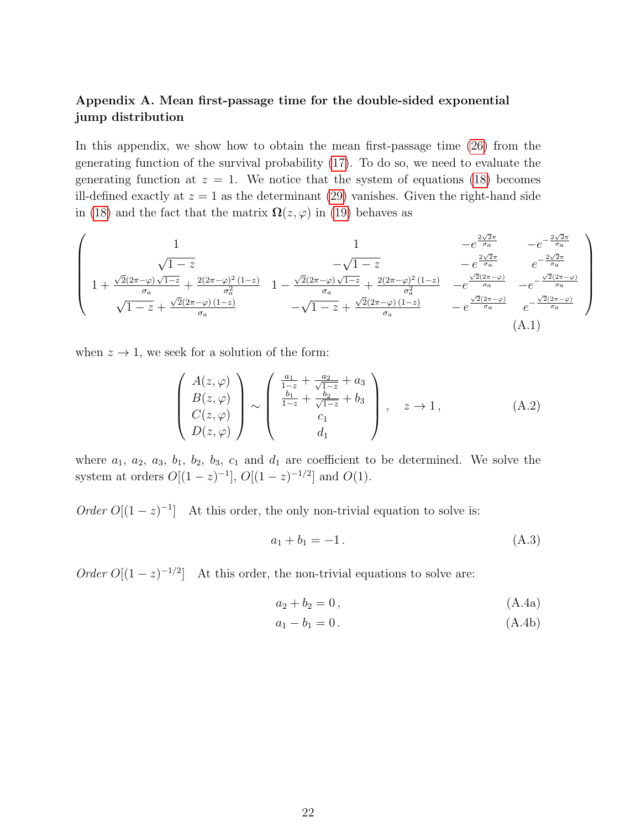# <span id="page-21-0"></span>Appendix A. Mean first-passage time for the double-sided exponential jump distribution

In this appendix, we show how to obtain the mean first-passage time [\(26\)](#page-7-0) from the generating function of the survival probability [\(17\)](#page-5-4). To do so, we need to evaluate the generating function at  $z = 1$ . We notice that the system of equations [\(18\)](#page-5-2) becomes ill-defined exactly at  $z = 1$  as the determinant [\(29\)](#page-8-3) vanishes. Given the right-hand side in [\(18\)](#page-5-2) and the fact that the matrix  $\Omega(z, \varphi)$  in [\(19\)](#page-5-5) behaves as

$$
\begin{pmatrix}\n1 & 1 & -e^{\frac{2\sqrt{2}\pi}{\sigma_a}} & -e^{-\frac{2\sqrt{2}\pi}{\sigma_a}} \\
\sqrt{1-z} & -\sqrt{1-z} & -e^{\frac{2\sqrt{2}\pi}{\sigma_a}} & e^{-\frac{2\sqrt{2}\pi}{\sigma_a}} \\
1 + \frac{\sqrt{2}(2\pi-\varphi)\sqrt{1-z}}{\sigma_a} + \frac{2(2\pi-\varphi)^2(1-z)}{\sigma_a^2} & 1 - \frac{\sqrt{2}(2\pi-\varphi)\sqrt{1-z}}{\sigma_a} + \frac{2(2\pi-\varphi)^2(1-z)}{\sigma_a^2} & -e^{\frac{\sqrt{2}(2\pi-\varphi)}{\sigma_a}} & -e^{-\frac{\sqrt{2}(2\pi-\varphi)}{\sigma_a}} \\
\sqrt{1-z} + \frac{\sqrt{2}(2\pi-\varphi)(1-z)}{\sigma_a} & -\sqrt{1-z} + \frac{\sqrt{2}(2\pi-\varphi)(1-z)}{\sigma_a} & -e^{\frac{\sqrt{2}(2\pi-\varphi)}{\sigma_a}} & e^{-\frac{\sqrt{2}(2\pi-\varphi)}{\sigma_a}}\n\end{pmatrix}
$$
\n(A.1)

when  $z \to 1$ , we seek for a solution of the form:

$$
\begin{pmatrix}\nA(z,\varphi) \\
B(z,\varphi) \\
C(z,\varphi) \\
D(z,\varphi)\n\end{pmatrix}\n\sim\n\begin{pmatrix}\n\frac{a_1}{1-z} + \frac{a_2}{\sqrt{1-z}} + a_3 \\
\frac{b_1}{1-z} + \frac{b_2}{\sqrt{1-z}} + b_3 \\
c_1 \\
d_1\n\end{pmatrix}, \quad z \to 1,
$$
\n(A.2)

where  $a_1, a_2, a_3, b_1, b_2, b_3, c_1$  and  $d_1$  are coefficient to be determined. We solve the system at orders  $O[(1-z)^{-1}]$ ,  $O[(1-z)^{-1/2}]$  and  $O(1)$ .

*Order*  $O[(1-z)^{-1}]$  At this order, the only non-trivial equation to solve is:

<span id="page-21-3"></span><span id="page-21-1"></span>
$$
a_1 + b_1 = -1.
$$
 (A.3)

*Order*  $O[(1-z)^{-1/2}]$  At this order, the non-trivial equations to solve are:

<span id="page-21-2"></span>
$$
a_2 + b_2 = 0, \t\t (A.4a)
$$

$$
a_1 - b_1 = 0. \t\t (A.4b)
$$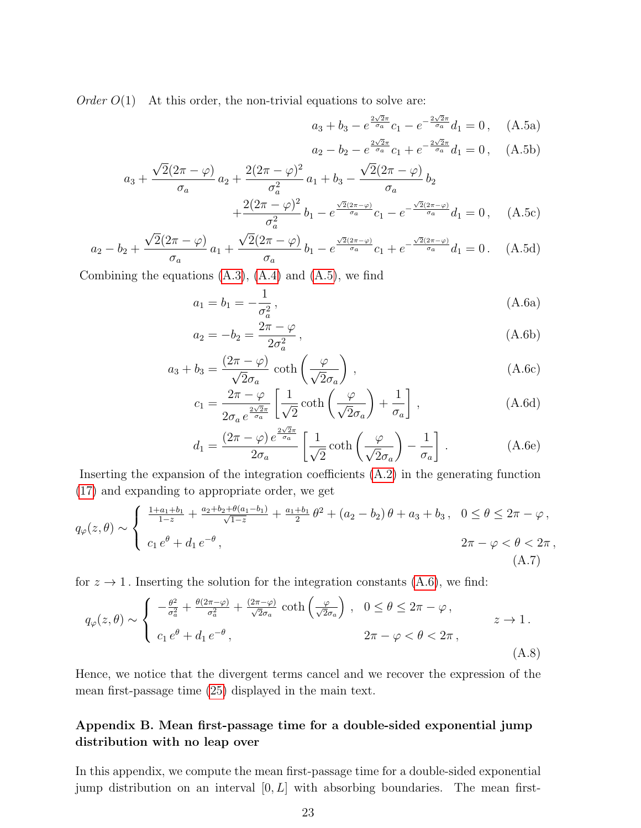Order  $O(1)$  At this order, the non-trivial equations to solve are:

$$
a_3 + b_3 - e^{\frac{2\sqrt{2}\pi}{\sigma_a}} c_1 - e^{-\frac{2\sqrt{2}\pi}{\sigma_a}} d_1 = 0, \quad \text{(A.5a)}
$$

<span id="page-22-1"></span>
$$
a_2 - b_2 - e^{\frac{2\sqrt{2}\pi}{\sigma_a}} c_1 + e^{-\frac{2\sqrt{2}\pi}{\sigma_a}} d_1 = 0, \quad \text{(A.5b)}
$$

$$
a_3 + \frac{\sqrt{2}(2\pi - \varphi)}{\sigma_a} a_2 + \frac{2(2\pi - \varphi)^2}{\sigma_a^2} a_1 + b_3 - \frac{\sqrt{2}(2\pi - \varphi)}{\sigma_a} b_2 + \frac{2(2\pi - \varphi)^2}{\sigma_a^2} b_1 - e^{\frac{\sqrt{2}(2\pi - \varphi)}{\sigma_a}} c_1 - e^{-\frac{\sqrt{2}(2\pi - \varphi)}{\sigma_a}} d_1 = 0, \quad (A.5c)
$$

$$
a_2 - b_2 + \frac{\sqrt{2}(2\pi - \varphi)}{\sigma_a} a_1 + \frac{\sqrt{2}(2\pi - \varphi)}{\sigma_a} b_1 - e^{\frac{\sqrt{2}(2\pi - \varphi)}{\sigma_a}} c_1 + e^{-\frac{\sqrt{2}(2\pi - \varphi)}{\sigma_a}} d_1 = 0. \quad (A.5d)
$$

Combining the equations  $(A.3)$ ,  $(A.4)$  and  $(A.5)$ , we find

$$
a_1 = b_1 = -\frac{1}{\sigma_a^2}, \tag{A.6a}
$$

$$
a_2 = -b_2 = \frac{2\pi - \varphi}{2\sigma_a^2},
$$
\n(A.6b)

$$
a_3 + b_3 = \frac{(2\pi - \varphi)}{\sqrt{2}\sigma_a} \coth\left(\frac{\varphi}{\sqrt{2}\sigma_a}\right),\tag{A.6c}
$$

$$
c_1 = \frac{2\pi - \varphi}{2\sigma_a e^{\frac{2\sqrt{2}\pi}{\sigma_a}}} \left[ \frac{1}{\sqrt{2}} \coth\left(\frac{\varphi}{\sqrt{2}\sigma_a}\right) + \frac{1}{\sigma_a} \right],
$$
 (A.6d)

<span id="page-22-2"></span>
$$
d_1 = \frac{(2\pi - \varphi) e^{\frac{2\sqrt{2\pi}}{\sigma_a}}}{2\sigma_a} \left[ \frac{1}{\sqrt{2}} \coth\left(\frac{\varphi}{\sqrt{2}\sigma_a}\right) - \frac{1}{\sigma_a} \right].
$$
 (A.6e)

Inserting the expansion of the integration coefficients [\(A.2\)](#page-21-3) in the generating function [\(17\)](#page-5-4) and expanding to appropriate order, we get

$$
q_{\varphi}(z,\theta) \sim \begin{cases} \frac{1+a_1+b_1}{1-z} + \frac{a_2+b_2+\theta(a_1-b_1)}{\sqrt{1-z}} + \frac{a_1+b_1}{2}\theta^2 + (a_2-b_2)\theta + a_3 + b_3, & 0 \le \theta \le 2\pi - \varphi, \\ c_1 e^{\theta} + d_1 e^{-\theta}, & 2\pi - \varphi < \theta < 2\pi, \\ 0.7, & (A.7) \end{cases}
$$

for  $z \to 1$ . Inserting the solution for the integration constants [\(A.6\)](#page-22-2), we find:

$$
q_{\varphi}(z,\theta) \sim \begin{cases} -\frac{\theta^2}{\sigma_a^2} + \frac{\theta(2\pi - \varphi)}{\sigma_a^2} + \frac{(2\pi - \varphi)}{\sqrt{2}\sigma_a} \coth\left(\frac{\varphi}{\sqrt{2}\sigma_a}\right), & 0 \le \theta \le 2\pi - \varphi, \\ c_1 e^{\theta} + d_1 e^{-\theta}, & 2\pi - \varphi < \theta < 2\pi, \end{cases} \qquad z \to 1. \tag{A.8}
$$

Hence, we notice that the divergent terms cancel and we recover the expression of the mean first-passage time [\(25\)](#page-7-3) displayed in the main text.

# <span id="page-22-0"></span>Appendix B. Mean first-passage time for a double-sided exponential jump distribution with no leap over

In this appendix, we compute the mean first-passage time for a double-sided exponential jump distribution on an interval  $[0, L]$  with absorbing boundaries. The mean first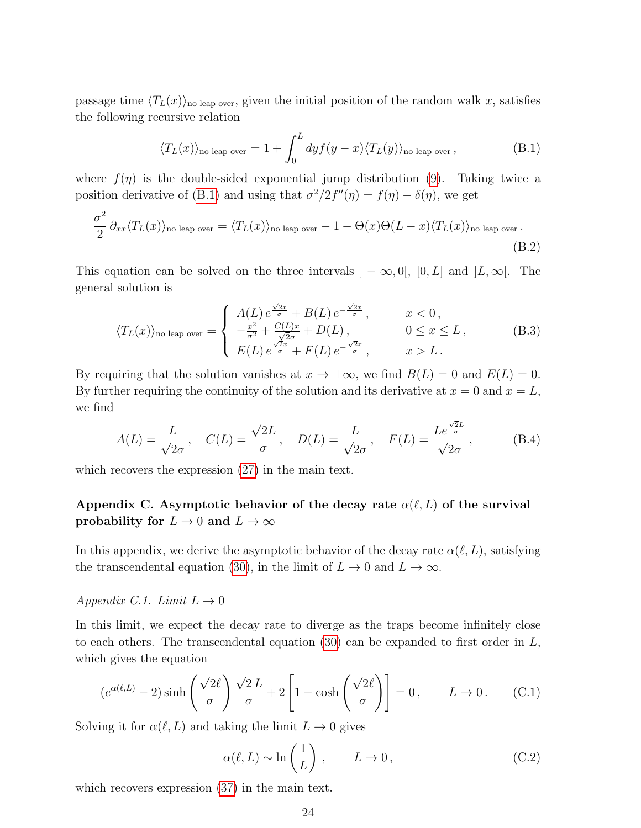passage time  $\langle T_L(x)\rangle$ <sub>no leap over</sub>, given the initial position of the random walk x, satisfies the following recursive relation

<span id="page-23-1"></span>
$$
\langle T_L(x) \rangle_{\text{no leap over}} = 1 + \int_0^L dy f(y - x) \langle T_L(y) \rangle_{\text{no leap over}}, \tag{B.1}
$$

where  $f(\eta)$  is the double-sided exponential jump distribution [\(9\)](#page-4-0). Taking twice a position derivative of [\(B.1\)](#page-23-1) and using that  $\sigma^2/2f''(\eta) = f(\eta) - \delta(\eta)$ , we get

$$
\frac{\sigma^2}{2} \partial_{xx} \langle T_L(x) \rangle_{\text{no leap over}} = \langle T_L(x) \rangle_{\text{no leap over}} - 1 - \Theta(x)\Theta(L-x) \langle T_L(x) \rangle_{\text{no leap over}}.
$$
\n(B.2)

This equation can be solved on the three intervals  $]-\infty,0[$ ,  $[0,L]$  and  $]L,\infty[$ . The general solution is

$$
\langle T_L(x) \rangle_{\text{no leap over}} = \begin{cases} A(L) e^{\frac{\sqrt{2}x}{\sigma}} + B(L) e^{-\frac{\sqrt{2}x}{\sigma}}, & x < 0, \\ -\frac{x^2}{\sigma^2} + \frac{C(L)x}{\sqrt{2}\sigma} + D(L), & 0 \le x \le L, \\ E(L) e^{\frac{\sqrt{2}x}{\sigma}} + F(L) e^{-\frac{\sqrt{2}x}{\sigma}}, & x > L. \end{cases}
$$
(B.3)

By requiring that the solution vanishes at  $x \to \pm \infty$ , we find  $B(L) = 0$  and  $E(L) = 0$ . By further requiring the continuity of the solution and its derivative at  $x = 0$  and  $x = L$ , we find

$$
A(L) = \frac{L}{\sqrt{2}\sigma}, \quad C(L) = \frac{\sqrt{2}L}{\sigma}, \quad D(L) = \frac{L}{\sqrt{2}\sigma}, \quad F(L) = \frac{Le^{\frac{\sqrt{2}L}{\sigma}}}{\sqrt{2}\sigma}, \quad (B.4)
$$

which recovers the expression [\(27\)](#page-7-1) in the main text.

# <span id="page-23-0"></span>Appendix C. Asymptotic behavior of the decay rate  $\alpha(\ell, L)$  of the survival probability for  $L \to 0$  and  $L \to \infty$

In this appendix, we derive the asymptotic behavior of the decay rate  $\alpha(\ell, L)$ , satisfying the transcendental equation [\(30\)](#page-8-1), in the limit of  $L \to 0$  and  $L \to \infty$ .

### Appendix C.1. Limit  $L \rightarrow 0$

In this limit, we expect the decay rate to diverge as the traps become infinitely close to each others. The transcendental equation  $(30)$  can be expanded to first order in  $L$ , which gives the equation

$$
(e^{\alpha(\ell,L)} - 2)\sinh\left(\frac{\sqrt{2}\ell}{\sigma}\right)\frac{\sqrt{2}L}{\sigma} + 2\left[1 - \cosh\left(\frac{\sqrt{2}\ell}{\sigma}\right)\right] = 0, \qquad L \to 0. \tag{C.1}
$$

Solving it for  $\alpha(\ell, L)$  and taking the limit  $L \to 0$  gives

$$
\alpha(\ell, L) \sim \ln\left(\frac{1}{L}\right) , \qquad L \to 0 , \tag{C.2}
$$

which recovers expression [\(37\)](#page-11-5) in the main text.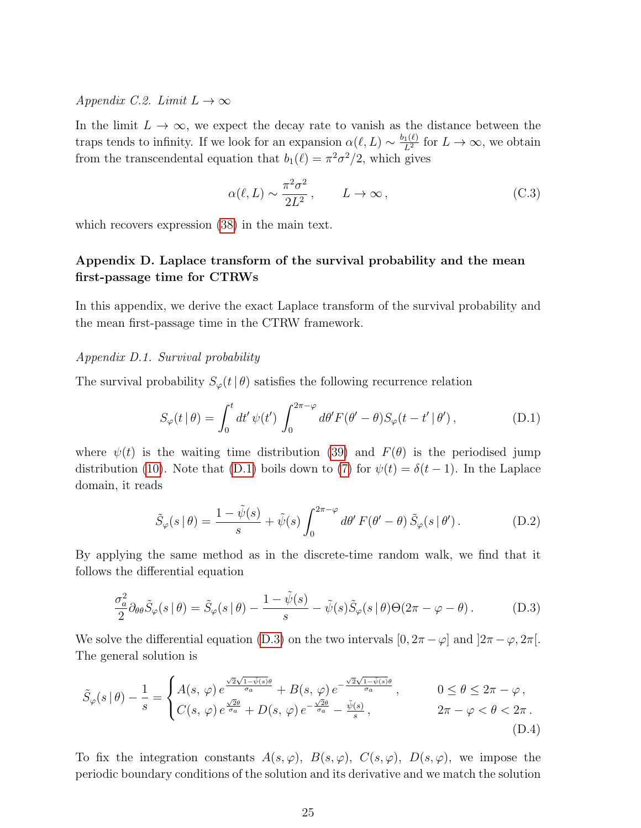Appendix C.2. Limit  $L \to \infty$ 

In the limit  $L \to \infty$ , we expect the decay rate to vanish as the distance between the traps tends to infinity. If we look for an expansion  $\alpha(\ell, L) \sim \frac{b_1(\ell)}{L^2}$  $\frac{1}{L^2}$  for  $L \to \infty$ , we obtain from the transcendental equation that  $b_1(\ell) = \pi^2 \sigma^2/2$ , which gives

$$
\alpha(\ell, L) \sim \frac{\pi^2 \sigma^2}{2L^2}, \qquad L \to \infty, \tag{C.3}
$$

which recovers expression [\(38\)](#page-11-1) in the main text.

# <span id="page-24-0"></span>Appendix D. Laplace transform of the survival probability and the mean first-passage time for CTRWs

In this appendix, we derive the exact Laplace transform of the survival probability and the mean first-passage time in the CTRW framework.

### Appendix D.1. Survival probability

The survival probability  $S_{\varphi}(t|\theta)$  satisfies the following recurrence relation

<span id="page-24-1"></span>
$$
S_{\varphi}(t | \theta) = \int_0^t dt' \,\psi(t') \int_0^{2\pi - \varphi} d\theta' F(\theta' - \theta) S_{\varphi}(t - t' | \theta'), \tag{D.1}
$$

where  $\psi(t)$  is the waiting time distribution [\(39\)](#page-11-4) and  $F(\theta)$  is the periodised jump distribution [\(10\)](#page-4-4). Note that [\(D.1\)](#page-24-1) boils down to [\(7\)](#page-3-2) for  $\psi(t) = \delta(t-1)$ . In the Laplace domain, it reads

<span id="page-24-2"></span>
$$
\tilde{S}_{\varphi}(s \mid \theta) = \frac{1 - \tilde{\psi}(s)}{s} + \tilde{\psi}(s) \int_0^{2\pi - \varphi} d\theta' F(\theta' - \theta) \tilde{S}_{\varphi}(s \mid \theta'). \tag{D.2}
$$

By applying the same method as in the discrete-time random walk, we find that it follows the differential equation

$$
\frac{\sigma_a^2}{2} \partial_{\theta\theta} \tilde{S}_{\varphi}(s \mid \theta) = \tilde{S}_{\varphi}(s \mid \theta) - \frac{1 - \tilde{\psi}(s)}{s} - \tilde{\psi}(s) \tilde{S}_{\varphi}(s \mid \theta) \Theta(2\pi - \varphi - \theta). \tag{D.3}
$$

We solve the differential equation [\(D.3\)](#page-24-2) on the two intervals  $[0, 2\pi - \varphi]$  and  $[2\pi - \varphi, 2\pi]$ . The general solution is

$$
\tilde{S}_{\varphi}(s \mid \theta) - \frac{1}{s} = \begin{cases}\nA(s, \varphi) e^{\frac{\sqrt{2}\sqrt{1 - \tilde{\psi}(s)\theta}}{\sigma_a}} + B(s, \varphi) e^{-\frac{\sqrt{2}\sqrt{1 - \tilde{\psi}(s)\theta}}{\sigma_a}}, & 0 \le \theta \le 2\pi - \varphi, \\
C(s, \varphi) e^{\frac{\sqrt{2}\theta}{\sigma_a}} + D(s, \varphi) e^{-\frac{\sqrt{2}\theta}{\sigma_a}} - \frac{\tilde{\psi}(s)}{s}, & 2\pi - \varphi < \theta < 2\pi.\n\end{cases} (D.4)
$$

To fix the integration constants  $A(s, \varphi)$ ,  $B(s, \varphi)$ ,  $C(s, \varphi)$ ,  $D(s, \varphi)$ , we impose the periodic boundary conditions of the solution and its derivative and we match the solution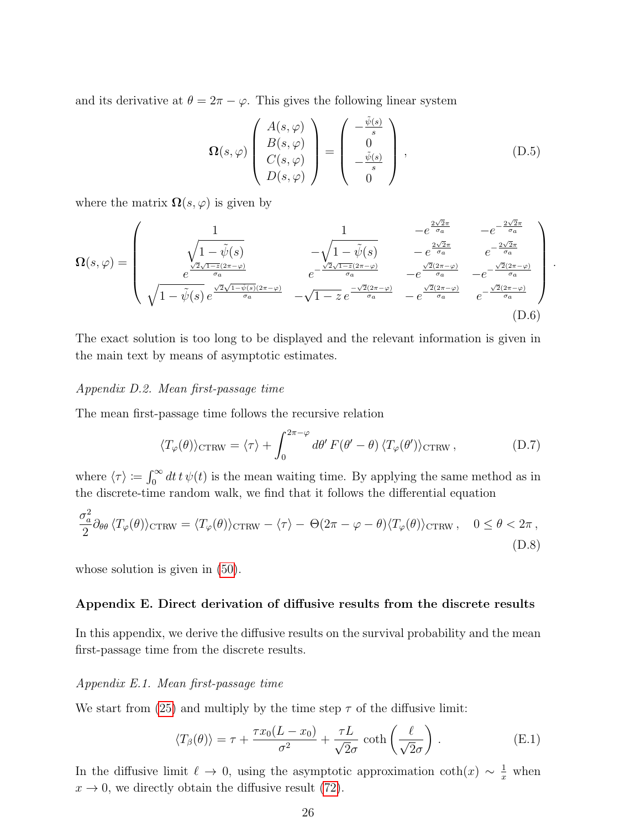and its derivative at  $\theta = 2\pi - \varphi$ . This gives the following linear system

$$
\Omega(s,\varphi) \begin{pmatrix} A(s,\varphi) \\ B(s,\varphi) \\ C(s,\varphi) \\ D(s,\varphi) \end{pmatrix} = \begin{pmatrix} -\frac{\tilde{\psi}(s)}{s} \\ 0 \\ -\frac{\tilde{\psi}(s)}{s} \\ 0 \end{pmatrix}, \tag{D.5}
$$

√

√

.

where the matrix  $\Omega(s, \varphi)$  is given by

$$
\Omega(s,\varphi) = \begin{pmatrix}\n1 & -e^{\frac{2\sqrt{2}\pi}{\sigma_a}} & -e^{-\frac{2\sqrt{2}\pi}{\sigma_a}} \\
\frac{\sqrt{1-\tilde{\psi}(s)}}{e^{\frac{\sqrt{2}\sqrt{1-\tilde{z}(2\pi-\varphi)}}{\sigma_a}}} & e^{-\frac{\sqrt{2}\sqrt{1-\tilde{z}(2\pi-\varphi)}}{\sigma_a}} & -e^{\frac{2\sqrt{2}\pi}{\sigma_a}} & e^{-\frac{2\sqrt{2}\pi}{\sigma_a}} \\
\sqrt{1-\tilde{\psi}(s)}e^{\frac{\sqrt{2}\sqrt{1-\tilde{\psi}(s)}(2\pi-\varphi)}}{e^{-\frac{\sqrt{2}\sqrt{1-\tilde{\psi}(2\pi-\varphi)}}{\sigma_a}}} & -\sqrt{1-z}e^{\frac{-\sqrt{2}(2\pi-\varphi)}{\sigma_a}} & -e^{\frac{\sqrt{2}(2\pi-\varphi)}{\sigma_a}} & e^{-\frac{\sqrt{2}(2\pi-\varphi)}{\sigma_a}}\n\end{pmatrix}
$$
\n(D.6)

The exact solution is too long to be displayed and the relevant information is given in the main text by means of asymptotic estimates.

### Appendix D.2. Mean first-passage time

The mean first-passage time follows the recursive relation

$$
\langle T_{\varphi}(\theta) \rangle_{\text{CTRW}} = \langle \tau \rangle + \int_0^{2\pi - \varphi} d\theta' \, F(\theta' - \theta) \, \langle T_{\varphi}(\theta') \rangle_{\text{CTRW}} \,, \tag{D.7}
$$

where  $\langle \tau \rangle := \int_0^\infty dt \, t \, \psi(t)$  is the mean waiting time. By applying the same method as in the discrete-time random walk, we find that it follows the differential equation

$$
\frac{\sigma_a^2}{2} \partial_{\theta\theta} \langle T_{\varphi}(\theta) \rangle_{\text{CTRW}} = \langle T_{\varphi}(\theta) \rangle_{\text{CTRW}} - \langle \tau \rangle - \Theta(2\pi - \varphi - \theta) \langle T_{\varphi}(\theta) \rangle_{\text{CTRW}}, \quad 0 \le \theta < 2\pi,
$$
\n(D.8)

whose solution is given in  $(50)$ .

### <span id="page-25-0"></span>Appendix E. Direct derivation of diffusive results from the discrete results

In this appendix, we derive the diffusive results on the survival probability and the mean first-passage time from the discrete results.

### Appendix E.1. Mean first-passage time

We start from [\(25\)](#page-7-3) and multiply by the time step  $\tau$  of the diffusive limit:

$$
\langle T_{\beta}(\theta) \rangle = \tau + \frac{\tau x_0 (L - x_0)}{\sigma^2} + \frac{\tau L}{\sqrt{2}\sigma} \coth\left(\frac{\ell}{\sqrt{2}\sigma}\right). \tag{E.1}
$$

In the diffusive limit  $\ell \to 0$ , using the asymptotic approximation coth $(x) \sim \frac{1}{x}$  when  $x \to 0$ , we directly obtain the diffusive result [\(72\)](#page-18-1).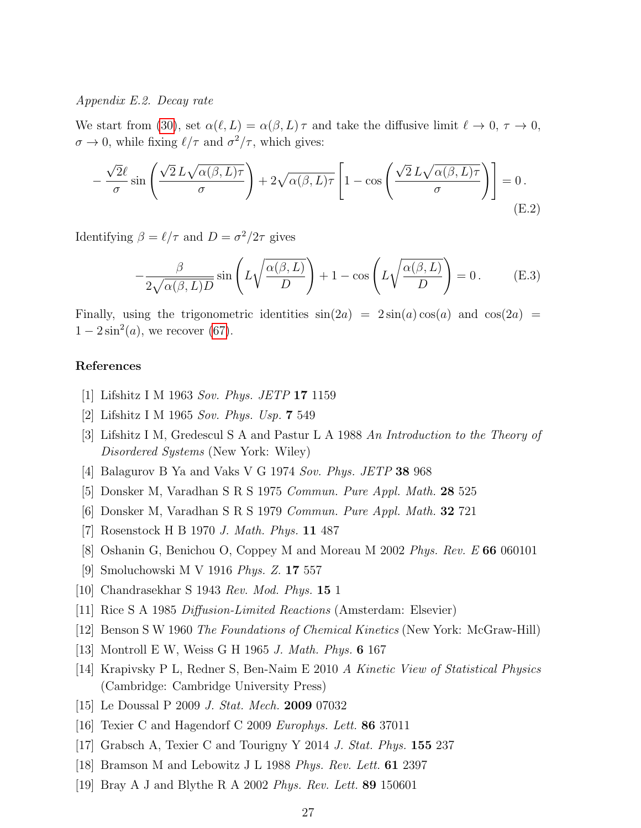### Appendix E.2. Decay rate

We start from [\(30\)](#page-8-1), set  $\alpha(\ell, L) = \alpha(\beta, L) \tau$  and take the diffusive limit  $\ell \to 0, \tau \to 0$ ,  $\sigma \to 0$ , while fixing  $\ell/\tau$  and  $\sigma^2/\tau$ , which gives:

$$
-\frac{\sqrt{2}\ell}{\sigma}\sin\left(\frac{\sqrt{2}L\sqrt{\alpha(\beta,L)\tau}}{\sigma}\right) + 2\sqrt{\alpha(\beta,L)\tau}\left[1 - \cos\left(\frac{\sqrt{2}L\sqrt{\alpha(\beta,L)\tau}}{\sigma}\right)\right] = 0.
$$
\n(E.2)

Identifying  $\beta = \ell/\tau$  and  $D = \sigma^2/2\tau$  gives

$$
-\frac{\beta}{2\sqrt{\alpha(\beta,L)D}}\sin\left(L\sqrt{\frac{\alpha(\beta,L)}{D}}\right) + 1 - \cos\left(L\sqrt{\frac{\alpha(\beta,L)}{D}}\right) = 0.
$$
 (E.3)

Finally, using the trigonometric identities  $sin(2a) = 2 sin(a) cos(a)$  and  $cos(2a) =$  $1 - 2\sin^2(a)$ , we recover [\(67\)](#page-17-0).

### References

- <span id="page-26-0"></span>[1] Lifshitz I M 1963 Sov. Phys. JETP 17 1159
- [2] Lifshitz I M 1965 Sov. Phys. Usp. 7 549
- [3] Lifshitz I M, Gredescul S A and Pastur L A 1988 An Introduction to the Theory of Disordered Systems (New York: Wiley)
- [4] Balagurov B Ya and Vaks V G 1974 Sov. Phys. JETP 38 968
- [5] Donsker M, Varadhan S R S 1975 Commun. Pure Appl. Math. 28 525
- <span id="page-26-6"></span>[6] Donsker M, Varadhan S R S 1979 Commun. Pure Appl. Math. 32 721
- <span id="page-26-1"></span>[7] Rosenstock H B 1970 J. Math. Phys. 11 487
- <span id="page-26-2"></span>[8] Oshanin G, Benichou O, Coppey M and Moreau M 2002 Phys. Rev. E 66 060101
- <span id="page-26-3"></span>[9] Smoluchowski M V 1916 Phys. Z. 17 557
- [10] Chandrasekhar S 1943 Rev. Mod. Phys. 15 1
- [11] Rice S A 1985 Diffusion-Limited Reactions (Amsterdam: Elsevier)
- [12] Benson S W 1960 The Foundations of Chemical Kinetics (New York: McGraw-Hill)
- [13] Montroll E W, Weiss G H 1965 J. Math. Phys. 6 167
- <span id="page-26-4"></span>[14] Krapivsky P L, Redner S, Ben-Naim E 2010 A Kinetic View of Statistical Physics (Cambridge: Cambridge University Press)
- <span id="page-26-5"></span>[15] Le Doussal P 2009 J. Stat. Mech. 2009 07032
- [16] Texier C and Hagendorf C 2009 Europhys. Lett. 86 37011
- [17] Grabsch A, Texier C and Tourigny Y 2014 J. Stat. Phys.  $155\,237$
- [18] Bramson M and Lebowitz J L 1988 Phys. Rev. Lett. 61 2397
- [19] Bray A J and Blythe R A 2002 Phys. Rev. Lett. 89 150601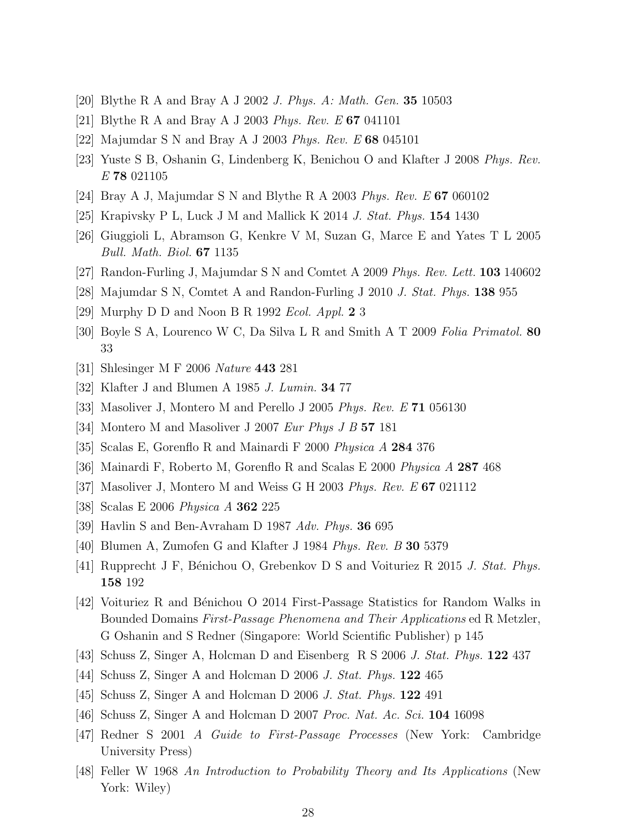- [20] Blythe R A and Bray A J 2002 J. Phys. A: Math. Gen. 35 10503
- [21] Blythe R A and Bray A J 2003 Phys. Rev. E 67 041101
- [22] Majumdar S N and Bray A J 2003 Phys. Rev. E 68 045101
- [23] Yuste S B, Oshanin G, Lindenberg K, Benichou O and Klafter J 2008 Phys. Rev. E 78 021105
- [24] Bray A J, Majumdar S N and Blythe R A 2003 Phys. Rev. E 67 060102
- <span id="page-27-0"></span>[25] Krapivsky P L, Luck J M and Mallick K 2014 J. Stat. Phys. 154 1430
- <span id="page-27-1"></span>[26] Giuggioli L, Abramson G, Kenkre V M, Suzan G, Marce E and Yates T L 2005 Bull. Math. Biol. 67 1135
- [27] Randon-Furling J, Majumdar S N and Comtet A 2009 Phys. Rev. Lett. 103 140602
- [28] Majumdar S N, Comtet A and Randon-Furling J 2010 J. Stat. Phys. 138 955
- [29] Murphy D D and Noon B R 1992 *Ecol. Appl.* 2 3
- <span id="page-27-2"></span>[30] Boyle S A, Lourenco W C, Da Silva L R and Smith A T 2009 Folia Primatol. 80 33
- <span id="page-27-3"></span>[31] Shlesinger M F 2006 Nature 443 281
- <span id="page-27-4"></span>[32] Klafter J and Blumen A 1985 J. Lumin. 34 77
- <span id="page-27-5"></span>[33] Masoliver J, Montero M and Perello J 2005 Phys. Rev. E 71 056130
- <span id="page-27-6"></span>[34] Montero M and Masoliver J 2007 Eur Phys J B 57 181
- <span id="page-27-7"></span>[35] Scalas E, Gorenflo R and Mainardi F 2000 Physica A 284 376
- [36] Mainardi F, Roberto M, Gorenflo R and Scalas E 2000 Physica A 287 468
- [37] Masoliver J, Montero M and Weiss G H 2003 Phys. Rev. E 67 021112
- <span id="page-27-8"></span>[38] Scalas E 2006 Physica A 362 225
- <span id="page-27-9"></span>[39] Havlin S and Ben-Avraham D 1987 Adv. Phys. 36 695
- <span id="page-27-10"></span>[40] Blumen A, Zumofen G and Klafter J 1984 *Phys. Rev. B* 30 5379
- <span id="page-27-11"></span>[41] Rupprecht J F, Bénichou O, Grebenkov D S and Voituriez R 2015 J. Stat. Phys. 158 192
- [42] Voituriez R and Bénichou O 2014 First-Passage Statistics for Random Walks in Bounded Domains First-Passage Phenomena and Their Applications ed R Metzler, G Oshanin and S Redner (Singapore: World Scientific Publisher) p 145
- [43] Schuss Z, Singer A, Holcman D and Eisenberg R S 2006 J. Stat. Phys. 122 437
- [44] Schuss Z, Singer A and Holcman D 2006 J. Stat. Phys. 122 465
- [45] Schuss Z, Singer A and Holcman D 2006 J. Stat. Phys. 122 491
- [46] Schuss Z, Singer A and Holcman D 2007 Proc. Nat. Ac. Sci. 104 16098
- <span id="page-27-12"></span>[47] Redner S 2001 A Guide to First-Passage Processes (New York: Cambridge University Press)
- <span id="page-27-13"></span>[48] Feller W 1968 An Introduction to Probability Theory and Its Applications (New York: Wiley)